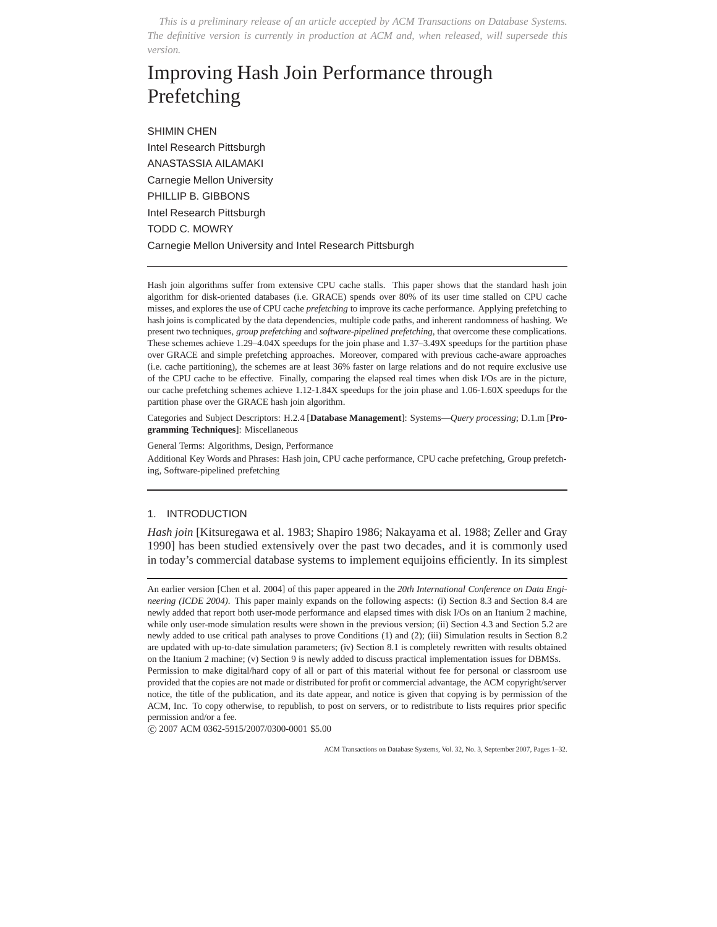*This is a preliminary release of an article accepted by ACM Transactions on Database Systems. The definitive version is currently in production at ACM and, when released, will supersede this version.*

# Improving Hash Join Performance through Prefetching

SHIMIN CHEN Intel Research Pittsburgh ANASTASSIA AILAMAKI Carnegie Mellon University PHILLIP B. GIBBONS Intel Research Pittsburgh TODD C. MOWRY Carnegie Mellon University and Intel Research Pittsburgh

Hash join algorithms suffer from extensive CPU cache stalls. This paper shows that the standard hash join algorithm for disk-oriented databases (i.e. GRACE) spends over 80% of its user time stalled on CPU cache misses, and explores the use of CPU cache *prefetching* to improve its cache performance. Applying prefetching to hash joins is complicated by the data dependencies, multiple code paths, and inherent randomness of hashing. We present two techniques, *group prefetching* and *software-pipelined prefetching*, that overcome these complications. These schemes achieve 1.29–4.04X speedups for the join phase and 1.37–3.49X speedups for the partition phase over GRACE and simple prefetching approaches. Moreover, compared with previous cache-aware approaches (i.e. cache partitioning), the schemes are at least 36% faster on large relations and do not require exclusive use of the CPU cache to be effective. Finally, comparing the elapsed real times when disk I/Os are in the picture, our cache prefetching schemes achieve 1.12-1.84X speedups for the join phase and 1.06-1.60X speedups for the partition phase over the GRACE hash join algorithm.

Categories and Subject Descriptors: H.2.4 [**Database Management**]: Systems—*Query processing*; D.1.m [**Programming Techniques**]: Miscellaneous

General Terms: Algorithms, Design, Performance

Additional Key Words and Phrases: Hash join, CPU cache performance, CPU cache prefetching, Group prefetching, Software-pipelined prefetching

## 1. INTRODUCTION

*Hash join* [Kitsuregawa et al. 1983; Shapiro 1986; Nakayama et al. 1988; Zeller and Gray 1990] has been studied extensively over the past two decades, and it is commonly used in today's commercial database systems to implement equijoins efficiently. In its simplest

An earlier version [Chen et al. 2004] of this paper appeared in the *20th International Conference on Data Engineering (ICDE 2004)*. This paper mainly expands on the following aspects: (i) Section 8.3 and Section 8.4 are newly added that report both user-mode performance and elapsed times with disk I/Os on an Itanium 2 machine, while only user-mode simulation results were shown in the previous version; (ii) Section 4.3 and Section 5.2 are newly added to use critical path analyses to prove Conditions (1) and (2); (iii) Simulation results in Section 8.2 are updated with up-to-date simulation parameters; (iv) Section 8.1 is completely rewritten with results obtained on the Itanium 2 machine; (v) Section 9 is newly added to discuss practical implementation issues for DBMSs. Permission to make digital/hard copy of all or part of this material without fee for personal or classroom use provided that the copies are not made or distributed for profit or commercial advantage, the ACM copyright/server notice, the title of the publication, and its date appear, and notice is given that copying is by permission of the ACM, Inc. To copy otherwise, to republish, to post on servers, or to redistribute to lists requires prior specific permission and/or a fee.

c 2007 ACM 0362-5915/2007/0300-0001 \$5.00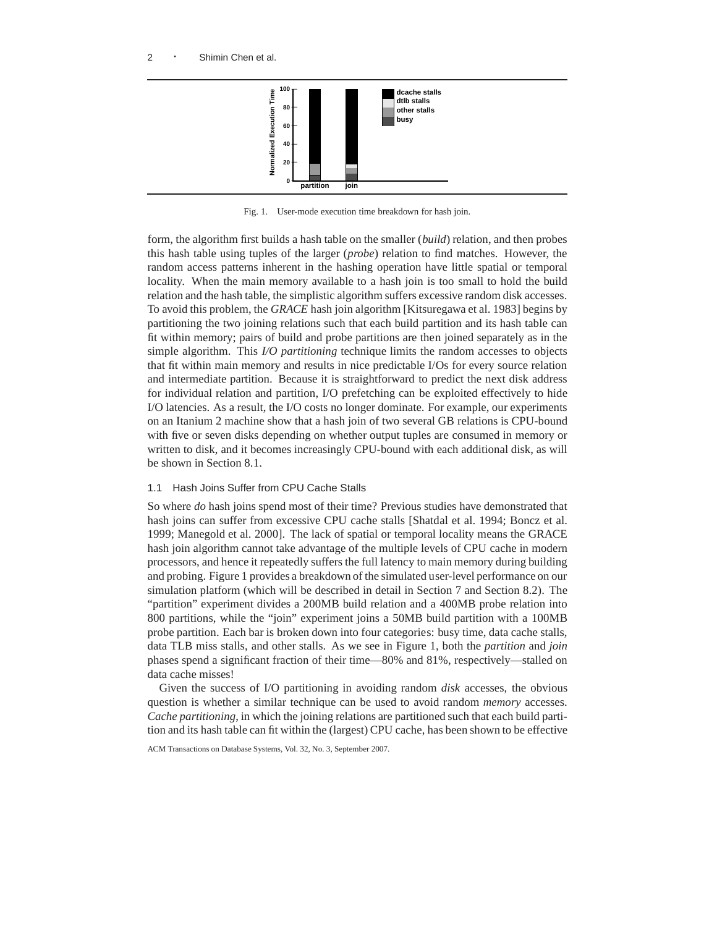

Fig. 1. User-mode execution time breakdown for hash join.

form, the algorithm first builds a hash table on the smaller (*build*) relation, and then probes this hash table using tuples of the larger (*probe*) relation to find matches. However, the random access patterns inherent in the hashing operation have little spatial or temporal locality. When the main memory available to a hash join is too small to hold the build relation and the hash table, the simplistic algorithm suffers excessive random disk accesses. To avoid this problem, the *GRACE* hash join algorithm [Kitsuregawa et al. 1983] begins by partitioning the two joining relations such that each build partition and its hash table can fit within memory; pairs of build and probe partitions are then joined separately as in the simple algorithm. This *I/O partitioning* technique limits the random accesses to objects that fit within main memory and results in nice predictable I/Os for every source relation and intermediate partition. Because it is straightforward to predict the next disk address for individual relation and partition, I/O prefetching can be exploited effectively to hide I/O latencies. As a result, the I/O costs no longer dominate. For example, our experiments on an Itanium 2 machine show that a hash join of two several GB relations is CPU-bound with five or seven disks depending on whether output tuples are consumed in memory or written to disk, and it becomes increasingly CPU-bound with each additional disk, as will be shown in Section 8.1.

#### 1.1 Hash Joins Suffer from CPU Cache Stalls

So where *do* hash joins spend most of their time? Previous studies have demonstrated that hash joins can suffer from excessive CPU cache stalls [Shatdal et al. 1994; Boncz et al. 1999; Manegold et al. 2000]. The lack of spatial or temporal locality means the GRACE hash join algorithm cannot take advantage of the multiple levels of CPU cache in modern processors, and hence it repeatedly suffers the full latency to main memory during building and probing. Figure 1 provides a breakdown of the simulated user-level performance on our simulation platform (which will be described in detail in Section 7 and Section 8.2). The "partition" experiment divides a 200MB build relation and a 400MB probe relation into 800 partitions, while the "join" experiment joins a 50MB build partition with a 100MB probe partition. Each bar is broken down into four categories: busy time, data cache stalls, data TLB miss stalls, and other stalls. As we see in Figure 1, both the *partition* and *join* phases spend a significant fraction of their time—80% and 81%, respectively—stalled on data cache misses!

Given the success of I/O partitioning in avoiding random *disk* accesses, the obvious question is whether a similar technique can be used to avoid random *memory* accesses. *Cache partitioning*, in which the joining relations are partitioned such that each build partition and its hash table can fit within the (largest) CPU cache, has been shown to be effective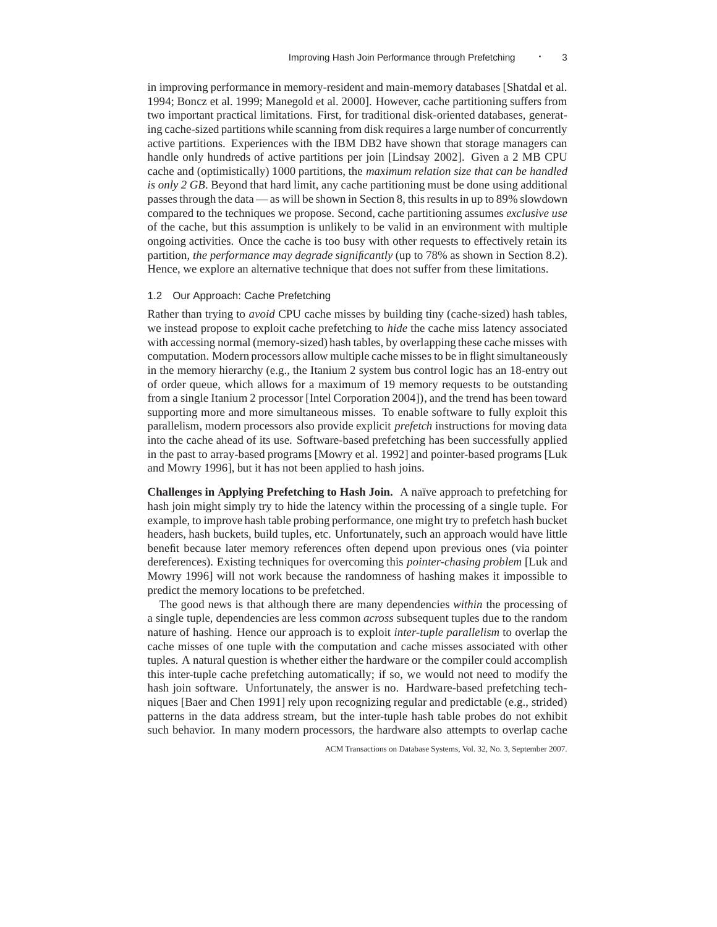in improving performance in memory-resident and main-memory databases [Shatdal et al. 1994; Boncz et al. 1999; Manegold et al. 2000]. However, cache partitioning suffers from two important practical limitations. First, for traditional disk-oriented databases, generating cache-sized partitions while scanning from disk requires a large number of concurrently active partitions. Experiences with the IBM DB2 have shown that storage managers can handle only hundreds of active partitions per join [Lindsay 2002]. Given a 2 MB CPU cache and (optimistically) 1000 partitions, the *maximum relation size that can be handled is only 2 GB*. Beyond that hard limit, any cache partitioning must be done using additional passes through the data — as will be shown in Section 8, this results in up to 89% slowdown compared to the techniques we propose. Second, cache partitioning assumes *exclusive use* of the cache, but this assumption is unlikely to be valid in an environment with multiple ongoing activities. Once the cache is too busy with other requests to effectively retain its partition, *the performance may degrade significantly* (up to 78% as shown in Section 8.2). Hence, we explore an alternative technique that does not suffer from these limitations.

#### 1.2 Our Approach: Cache Prefetching

Rather than trying to *avoid* CPU cache misses by building tiny (cache-sized) hash tables, we instead propose to exploit cache prefetching to *hide* the cache miss latency associated with accessing normal (memory-sized) hash tables, by overlapping these cache misses with computation. Modern processors allow multiple cache misses to be in flight simultaneously in the memory hierarchy (e.g., the Itanium 2 system bus control logic has an 18-entry out of order queue, which allows for a maximum of 19 memory requests to be outstanding from a single Itanium 2 processor [Intel Corporation 2004]), and the trend has been toward supporting more and more simultaneous misses. To enable software to fully exploit this parallelism, modern processors also provide explicit *prefetch* instructions for moving data into the cache ahead of its use. Software-based prefetching has been successfully applied in the past to array-based programs [Mowry et al. 1992] and pointer-based programs [Luk and Mowry 1996], but it has not been applied to hash joins.

**Challenges in Applying Prefetching to Hash Join.** A naïve approach to prefetching for hash join might simply try to hide the latency within the processing of a single tuple. For example, to improve hash table probing performance, one might try to prefetch hash bucket headers, hash buckets, build tuples, etc. Unfortunately, such an approach would have little benefit because later memory references often depend upon previous ones (via pointer dereferences). Existing techniques for overcoming this *pointer-chasing problem* [Luk and Mowry 1996] will not work because the randomness of hashing makes it impossible to predict the memory locations to be prefetched.

The good news is that although there are many dependencies *within* the processing of a single tuple, dependencies are less common *across* subsequent tuples due to the random nature of hashing. Hence our approach is to exploit *inter-tuple parallelism* to overlap the cache misses of one tuple with the computation and cache misses associated with other tuples. A natural question is whether either the hardware or the compiler could accomplish this inter-tuple cache prefetching automatically; if so, we would not need to modify the hash join software. Unfortunately, the answer is no. Hardware-based prefetching techniques [Baer and Chen 1991] rely upon recognizing regular and predictable (e.g., strided) patterns in the data address stream, but the inter-tuple hash table probes do not exhibit such behavior. In many modern processors, the hardware also attempts to overlap cache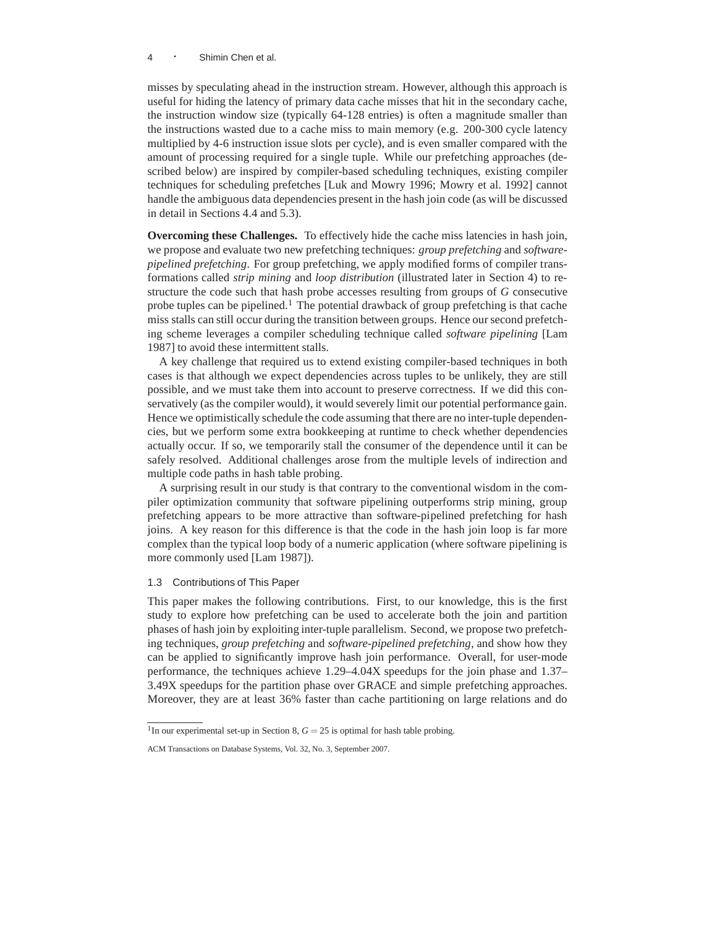#### <sup>4</sup> · Shimin Chen et al.

misses by speculating ahead in the instruction stream. However, although this approach is useful for hiding the latency of primary data cache misses that hit in the secondary cache, the instruction window size (typically 64-128 entries) is often a magnitude smaller than the instructions wasted due to a cache miss to main memory (e.g. 200-300 cycle latency multiplied by 4-6 instruction issue slots per cycle), and is even smaller compared with the amount of processing required for a single tuple. While our prefetching approaches (described below) are inspired by compiler-based scheduling techniques, existing compiler techniques for scheduling prefetches [Luk and Mowry 1996; Mowry et al. 1992] cannot handle the ambiguous data dependencies present in the hash join code (as will be discussed in detail in Sections 4.4 and 5.3).

**Overcoming these Challenges.** To effectively hide the cache miss latencies in hash join, we propose and evaluate two new prefetching techniques: *group prefetching* and *softwarepipelined prefetching*. For group prefetching, we apply modified forms of compiler transformations called *strip mining* and *loop distribution* (illustrated later in Section 4) to restructure the code such that hash probe accesses resulting from groups of *G* consecutive probe tuples can be pipelined.<sup>1</sup> The potential drawback of group prefetching is that cache miss stalls can still occur during the transition between groups. Hence our second prefetching scheme leverages a compiler scheduling technique called *software pipelining* [Lam 1987] to avoid these intermittent stalls.

A key challenge that required us to extend existing compiler-based techniques in both cases is that although we expect dependencies across tuples to be unlikely, they are still possible, and we must take them into account to preserve correctness. If we did this conservatively (as the compiler would), it would severely limit our potential performance gain. Hence we optimistically schedule the code assuming that there are no inter-tuple dependencies, but we perform some extra bookkeeping at runtime to check whether dependencies actually occur. If so, we temporarily stall the consumer of the dependence until it can be safely resolved. Additional challenges arose from the multiple levels of indirection and multiple code paths in hash table probing.

A surprising result in our study is that contrary to the conventional wisdom in the compiler optimization community that software pipelining outperforms strip mining, group prefetching appears to be more attractive than software-pipelined prefetching for hash joins. A key reason for this difference is that the code in the hash join loop is far more complex than the typical loop body of a numeric application (where software pipelining is more commonly used [Lam 1987]).

## 1.3 Contributions of This Paper

This paper makes the following contributions. First, to our knowledge, this is the first study to explore how prefetching can be used to accelerate both the join and partition phases of hash join by exploiting inter-tuple parallelism. Second, we propose two prefetching techniques, *group prefetching* and *software-pipelined prefetching*, and show how they can be applied to significantly improve hash join performance. Overall, for user-mode performance, the techniques achieve 1.29–4.04X speedups for the join phase and 1.37– 3.49X speedups for the partition phase over GRACE and simple prefetching approaches. Moreover, they are at least 36% faster than cache partitioning on large relations and do

<sup>&</sup>lt;sup>1</sup>In our experimental set-up in Section 8,  $G = 25$  is optimal for hash table probing.

ACM Transactions on Database Systems, Vol. 32, No. 3, September 2007.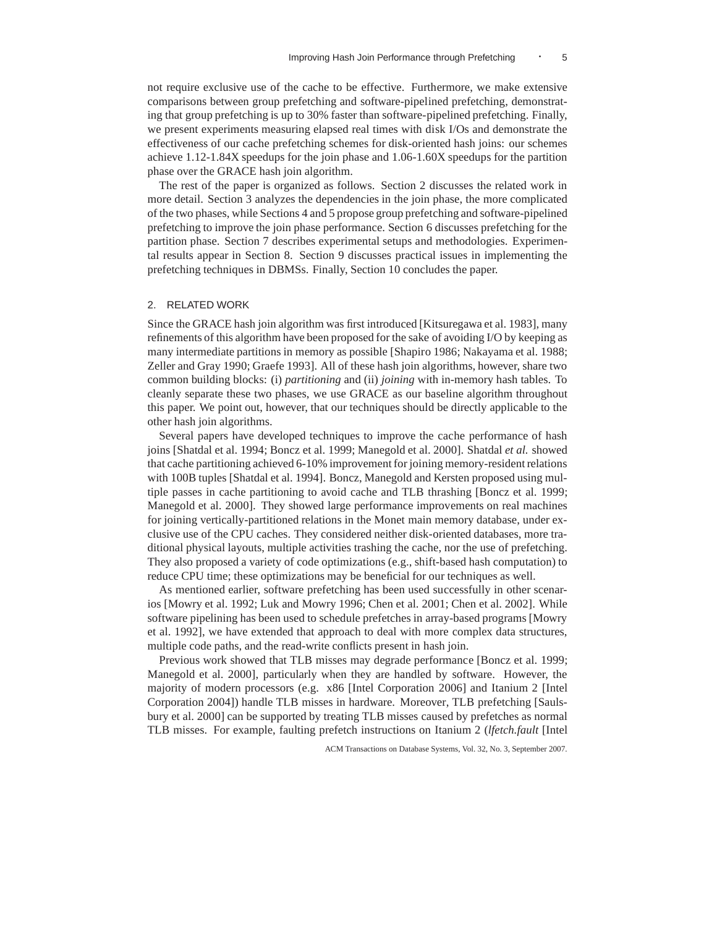not require exclusive use of the cache to be effective. Furthermore, we make extensive comparisons between group prefetching and software-pipelined prefetching, demonstrating that group prefetching is up to 30% faster than software-pipelined prefetching. Finally, we present experiments measuring elapsed real times with disk I/Os and demonstrate the effectiveness of our cache prefetching schemes for disk-oriented hash joins: our schemes achieve 1.12-1.84X speedups for the join phase and 1.06-1.60X speedups for the partition phase over the GRACE hash join algorithm.

The rest of the paper is organized as follows. Section 2 discusses the related work in more detail. Section 3 analyzes the dependencies in the join phase, the more complicated of the two phases, while Sections 4 and 5 propose group prefetching and software-pipelined prefetching to improve the join phase performance. Section 6 discusses prefetching for the partition phase. Section 7 describes experimental setups and methodologies. Experimental results appear in Section 8. Section 9 discusses practical issues in implementing the prefetching techniques in DBMSs. Finally, Section 10 concludes the paper.

#### 2. RELATED WORK

Since the GRACE hash join algorithm was first introduced [Kitsuregawa et al. 1983], many refinements of this algorithm have been proposed for the sake of avoiding I/O by keeping as many intermediate partitions in memory as possible [Shapiro 1986; Nakayama et al. 1988; Zeller and Gray 1990; Graefe 1993]. All of these hash join algorithms, however, share two common building blocks: (i) *partitioning* and (ii) *joining* with in-memory hash tables. To cleanly separate these two phases, we use GRACE as our baseline algorithm throughout this paper. We point out, however, that our techniques should be directly applicable to the other hash join algorithms.

Several papers have developed techniques to improve the cache performance of hash joins [Shatdal et al. 1994; Boncz et al. 1999; Manegold et al. 2000]. Shatdal *et al.* showed that cache partitioning achieved 6-10% improvement for joining memory-resident relations with 100B tuples [Shatdal et al. 1994]. Boncz, Manegold and Kersten proposed using multiple passes in cache partitioning to avoid cache and TLB thrashing [Boncz et al. 1999; Manegold et al. 2000]. They showed large performance improvements on real machines for joining vertically-partitioned relations in the Monet main memory database, under exclusive use of the CPU caches. They considered neither disk-oriented databases, more traditional physical layouts, multiple activities trashing the cache, nor the use of prefetching. They also proposed a variety of code optimizations (e.g., shift-based hash computation) to reduce CPU time; these optimizations may be beneficial for our techniques as well.

As mentioned earlier, software prefetching has been used successfully in other scenarios [Mowry et al. 1992; Luk and Mowry 1996; Chen et al. 2001; Chen et al. 2002]. While software pipelining has been used to schedule prefetches in array-based programs [Mowry et al. 1992], we have extended that approach to deal with more complex data structures, multiple code paths, and the read-write conflicts present in hash join.

Previous work showed that TLB misses may degrade performance [Boncz et al. 1999; Manegold et al. 2000], particularly when they are handled by software. However, the majority of modern processors (e.g. x86 [Intel Corporation 2006] and Itanium 2 [Intel Corporation 2004]) handle TLB misses in hardware. Moreover, TLB prefetching [Saulsbury et al. 2000] can be supported by treating TLB misses caused by prefetches as normal TLB misses. For example, faulting prefetch instructions on Itanium 2 (*lfetch.fault* [Intel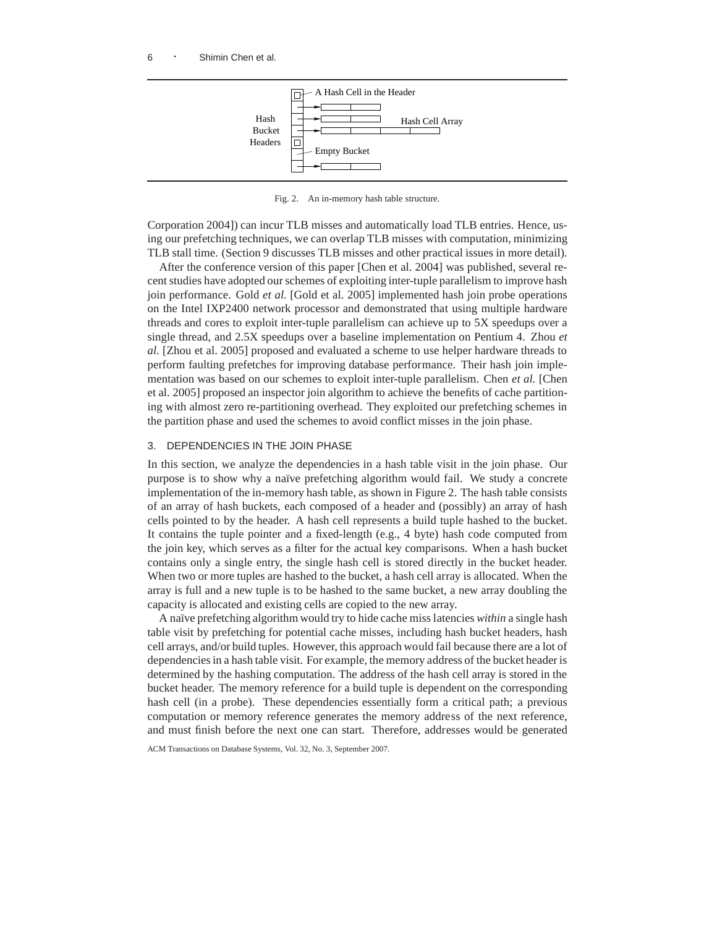

Fig. 2. An in-memory hash table structure.

Corporation 2004]) can incur TLB misses and automatically load TLB entries. Hence, using our prefetching techniques, we can overlap TLB misses with computation, minimizing TLB stall time. (Section 9 discusses TLB misses and other practical issues in more detail).

After the conference version of this paper [Chen et al. 2004] was published, several recent studies have adopted our schemes of exploiting inter-tuple parallelism to improve hash join performance. Gold *et al.* [Gold et al. 2005] implemented hash join probe operations on the Intel IXP2400 network processor and demonstrated that using multiple hardware threads and cores to exploit inter-tuple parallelism can achieve up to 5X speedups over a single thread, and 2.5X speedups over a baseline implementation on Pentium 4. Zhou *et al.* [Zhou et al. 2005] proposed and evaluated a scheme to use helper hardware threads to perform faulting prefetches for improving database performance. Their hash join implementation was based on our schemes to exploit inter-tuple parallelism. Chen *et al.* [Chen et al. 2005] proposed an inspector join algorithm to achieve the benefits of cache partitioning with almost zero re-partitioning overhead. They exploited our prefetching schemes in the partition phase and used the schemes to avoid conflict misses in the join phase.

#### 3. DEPENDENCIES IN THE JOIN PHASE

In this section, we analyze the dependencies in a hash table visit in the join phase. Our purpose is to show why a naïve prefetching algorithm would fail. We study a concrete implementation of the in-memory hash table, as shown in Figure 2. The hash table consists of an array of hash buckets, each composed of a header and (possibly) an array of hash cells pointed to by the header. A hash cell represents a build tuple hashed to the bucket. It contains the tuple pointer and a fixed-length (e.g., 4 byte) hash code computed from the join key, which serves as a filter for the actual key comparisons. When a hash bucket contains only a single entry, the single hash cell is stored directly in the bucket header. When two or more tuples are hashed to the bucket, a hash cell array is allocated. When the array is full and a new tuple is to be hashed to the same bucket, a new array doubling the capacity is allocated and existing cells are copied to the new array.

A naïve prefetching algorithm would try to hide cache miss latencies *within* a single hash table visit by prefetching for potential cache misses, including hash bucket headers, hash cell arrays, and/or build tuples. However, this approach would fail because there are a lot of dependencies in a hash table visit. For example, the memory address of the bucket header is determined by the hashing computation. The address of the hash cell array is stored in the bucket header. The memory reference for a build tuple is dependent on the corresponding hash cell (in a probe). These dependencies essentially form a critical path; a previous computation or memory reference generates the memory address of the next reference, and must finish before the next one can start. Therefore, addresses would be generated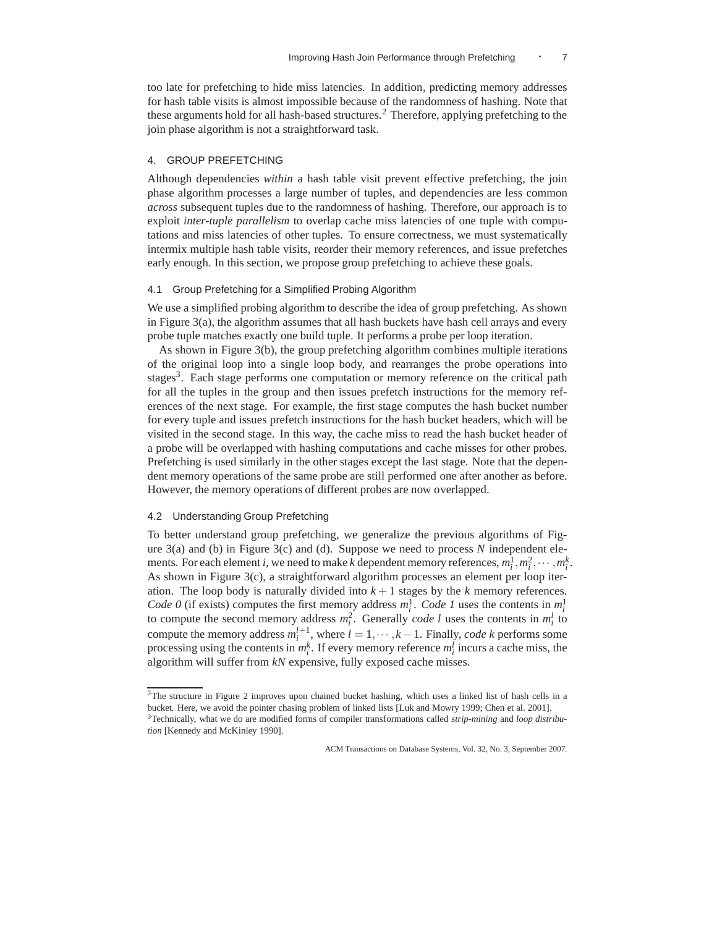too late for prefetching to hide miss latencies. In addition, predicting memory addresses for hash table visits is almost impossible because of the randomness of hashing. Note that these arguments hold for all hash-based structures.<sup>2</sup> Therefore, applying prefetching to the join phase algorithm is not a straightforward task.

## 4. GROUP PREFETCHING

Although dependencies *within* a hash table visit prevent effective prefetching, the join phase algorithm processes a large number of tuples, and dependencies are less common *across* subsequent tuples due to the randomness of hashing. Therefore, our approach is to exploit *inter-tuple parallelism* to overlap cache miss latencies of one tuple with computations and miss latencies of other tuples. To ensure correctness, we must systematically intermix multiple hash table visits, reorder their memory references, and issue prefetches early enough. In this section, we propose group prefetching to achieve these goals.

## 4.1 Group Prefetching for a Simplified Probing Algorithm

We use a simplified probing algorithm to describe the idea of group prefetching. As shown in Figure 3(a), the algorithm assumes that all hash buckets have hash cell arrays and every probe tuple matches exactly one build tuple. It performs a probe per loop iteration.

As shown in Figure 3(b), the group prefetching algorithm combines multiple iterations of the original loop into a single loop body, and rearranges the probe operations into stages<sup>3</sup>. Each stage performs one computation or memory reference on the critical path for all the tuples in the group and then issues prefetch instructions for the memory references of the next stage. For example, the first stage computes the hash bucket number for every tuple and issues prefetch instructions for the hash bucket headers, which will be visited in the second stage. In this way, the cache miss to read the hash bucket header of a probe will be overlapped with hashing computations and cache misses for other probes. Prefetching is used similarly in the other stages except the last stage. Note that the dependent memory operations of the same probe are still performed one after another as before. However, the memory operations of different probes are now overlapped.

## 4.2 Understanding Group Prefetching

To better understand group prefetching, we generalize the previous algorithms of Figure 3(a) and (b) in Figure 3(c) and (d). Suppose we need to process *N* independent elements. For each element *i*, we need to make *k* dependent memory references,  $m_i^1, m_i^2, \cdots, m_i^k$ . As shown in Figure  $3(c)$ , a straightforward algorithm processes an element per loop iteration. The loop body is naturally divided into  $k + 1$  stages by the  $k$  memory references. *Code 0* (if exists) computes the first memory address  $m_i^1$ . *Code 1* uses the contents in  $m_i^1$ to compute the second memory address  $m_i^2$ . Generally *code l* uses the contents in  $m_i^l$  to compute the memory address  $m_i^{l+1}$ , where  $l = 1, \dots, k-1$ . Finally, *code k* performs some processing using the contents in  $m_i^k$ . If every memory reference  $m_i^l$  incurs a cache miss, the algorithm will suffer from *kN* expensive, fully exposed cache misses.

<sup>&</sup>lt;sup>2</sup>The structure in Figure 2 improves upon chained bucket hashing, which uses a linked list of hash cells in a bucket. Here, we avoid the pointer chasing problem of linked lists [Luk and Mowry 1999; Chen et al. 2001]. <sup>3</sup>Technically, what we do are modified forms of compiler transformations called *strip-mining* and *loop distribution* [Kennedy and McKinley 1990].

ACM Transactions on Database Systems, Vol. 32, No. 3, September 2007.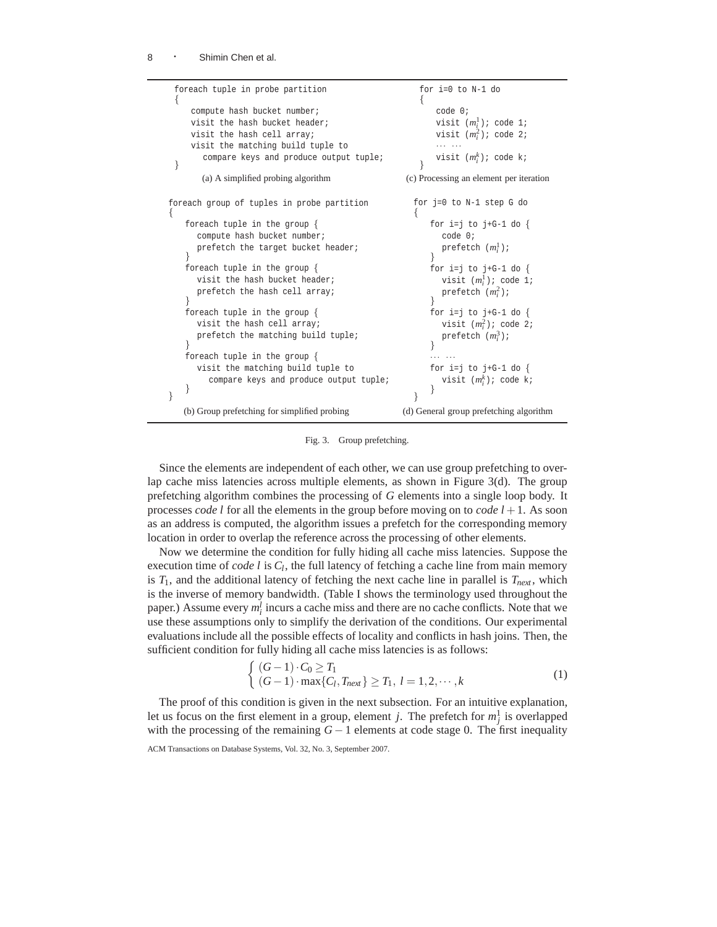| foreach tuple in probe partition                                 | for $i=0$ to $N-1$ do                   |
|------------------------------------------------------------------|-----------------------------------------|
| compute hash bucket number;                                      | code 0i                                 |
| visit the hash bucket header;                                    | visit $(m_i^1)$ ; code 1;               |
| visit the hash cell array;                                       | visit $(m_i^2)$ ; code 2;               |
| visit the matching build tuple to                                |                                         |
| compare keys and produce output tuple;<br>}                      | visit $(m_i^k)$ ; code k;               |
| (a) A simplified probing algorithm                               | (c) Processing an element per iteration |
| foreach group of tuples in probe partition                       | for $j=0$ to N-1 step G do              |
| foreach tuple in the group $\{$                                  | for i=j to j+G-1 do {                   |
| compute hash bucket number;                                      | code 0;                                 |
| prefetch the target bucket header;                               | prefetch $(m_i^1)$ ;                    |
| ł                                                                |                                         |
| foreach tuple in the group $\{$<br>visit the hash bucket header; | for i=j to j+G-1 do $\{$                |
|                                                                  | visit $(m_i^1)$ ; code 1;               |
| prefetch the hash cell array;                                    | prefetch $(m_i^2)$ ;                    |
| foreach tuple in the group $\{$                                  | for i=j to j+G-1 do {                   |
| visit the hash cell array;                                       | visit $(m_i^2)$ ; code 2;               |
| prefetch the matching build tuple;                               | prefetch $(m_i^3)$ ;                    |
|                                                                  |                                         |
| foreach tuple in the group $\{$                                  |                                         |
| visit the matching build tuple to                                | for i=j to j+G-1 do {                   |
| compare keys and produce output tuple;                           | visit $(m_i^k)$ ; code k;               |
|                                                                  |                                         |
| (b) Group prefetching for simplified probing                     | (d) General group prefetching algorithm |

Fig. 3. Group prefetching.

Since the elements are independent of each other, we can use group prefetching to overlap cache miss latencies across multiple elements, as shown in Figure  $3(d)$ . The group prefetching algorithm combines the processing of *G* elements into a single loop body. It processes *code l* for all the elements in the group before moving on to *code l* + 1. As soon as an address is computed, the algorithm issues a prefetch for the corresponding memory location in order to overlap the reference across the processing of other elements.

Now we determine the condition for fully hiding all cache miss latencies. Suppose the execution time of *code l* is  $C_l$ , the full latency of fetching a cache line from main memory is  $T_1$ , and the additional latency of fetching the next cache line in parallel is  $T_{\text{next}}$ , which is the inverse of memory bandwidth. (Table I shows the terminology used throughout the paper.) Assume every  $m_i^l$  incurs a cache miss and there are no cache conflicts. Note that we use these assumptions only to simplify the derivation of the conditions. Our experimental evaluations include all the possible effects of locality and conflicts in hash joins. Then, the sufficient condition for fully hiding all cache miss latencies is as follows:

$$
\begin{cases} (G-1) \cdot C_0 \ge T_1 \\ (G-1) \cdot \max\{C_l, T_{next}\} \ge T_1, l = 1, 2, \cdots, k \end{cases}
$$
 (1)

The proof of this condition is given in the next subsection. For an intuitive explanation, let us focus on the first element in a group, element *j*. The prefetch for  $m_j^1$  is overlapped with the processing of the remaining  $G - 1$  elements at code stage 0. The first inequality

ACM Transactions on Database Systems, Vol. 32, No. 3, September 2007.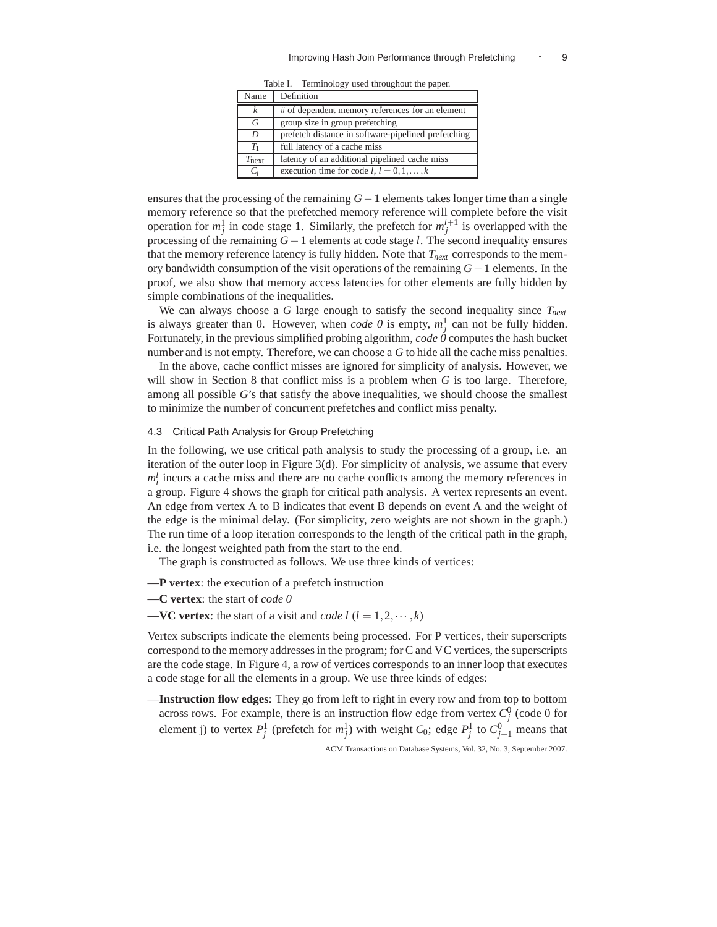Table I. Terminology used throughout the paper.

| Name              | Definition                                          |
|-------------------|-----------------------------------------------------|
| k                 | # of dependent memory references for an element     |
| G                 | group size in group prefetching                     |
| D                 | prefetch distance in software-pipelined prefetching |
| $T_1$             | full latency of a cache miss                        |
| $T_{\text{next}}$ | latency of an additional pipelined cache miss       |
| $C_I$             | execution time for code $l, l = 0, 1, \ldots, k$    |

ensures that the processing of the remaining *G*−1 elements takes longer time than a single memory reference so that the prefetched memory reference will complete before the visit operation for  $m_j^1$  in code stage 1. Similarly, the prefetch for  $m_j^{l+1}$  is overlapped with the processing of the remaining *G*−1 elements at code stage *l*. The second inequality ensures that the memory reference latency is fully hidden. Note that  $T_{next}$  corresponds to the memory bandwidth consumption of the visit operations of the remaining *G*−1 elements. In the proof, we also show that memory access latencies for other elements are fully hidden by simple combinations of the inequalities.

We can always choose a *G* large enough to satisfy the second inequality since *Tnext* is always greater than 0. However, when *code 0* is empty,  $m_j^1$  can not be fully hidden. Fortunately, in the previous simplified probing algorithm, *code 0* computes the hash bucket number and is not empty. Therefore, we can choose a G to hide all the cache miss penalties.

In the above, cache conflict misses are ignored for simplicity of analysis. However, we will show in Section 8 that conflict miss is a problem when *G* is too large. Therefore, among all possible *G*'s that satisfy the above inequalities, we should choose the smallest to minimize the number of concurrent prefetches and conflict miss penalty.

#### 4.3 Critical Path Analysis for Group Prefetching

In the following, we use critical path analysis to study the processing of a group, i.e. an iteration of the outer loop in Figure  $3(d)$ . For simplicity of analysis, we assume that every  $m_i^l$  incurs a cache miss and there are no cache conflicts among the memory references in a group. Figure 4 shows the graph for critical path analysis. A vertex represents an event. An edge from vertex A to B indicates that event B depends on event A and the weight of the edge is the minimal delay. (For simplicity, zero weights are not shown in the graph.) The run time of a loop iteration corresponds to the length of the critical path in the graph, i.e. the longest weighted path from the start to the end.

The graph is constructed as follows. We use three kinds of vertices:

- —**P vertex**: the execution of a prefetch instruction
- —**C vertex**: the start of *code 0*
- —**VC vertex**: the start of a visit and *code l*  $(l = 1, 2, \dots, k)$

Vertex subscripts indicate the elements being processed. For P vertices, their superscripts correspond to the memory addresses in the program; for C and VC vertices, the superscripts are the code stage. In Figure 4, a row of vertices corresponds to an inner loop that executes a code stage for all the elements in a group. We use three kinds of edges:

—**Instruction flow edges**: They go from left to right in every row and from top to bottom across rows. For example, there is an instruction flow edge from vertex  $C_j^0$  (code 0 for element j) to vertex  $P_j^1$  (prefetch for  $m_j^1$ ) with weight  $C_0$ ; edge  $P_j^1$  to  $C_{j+1}^0$  means that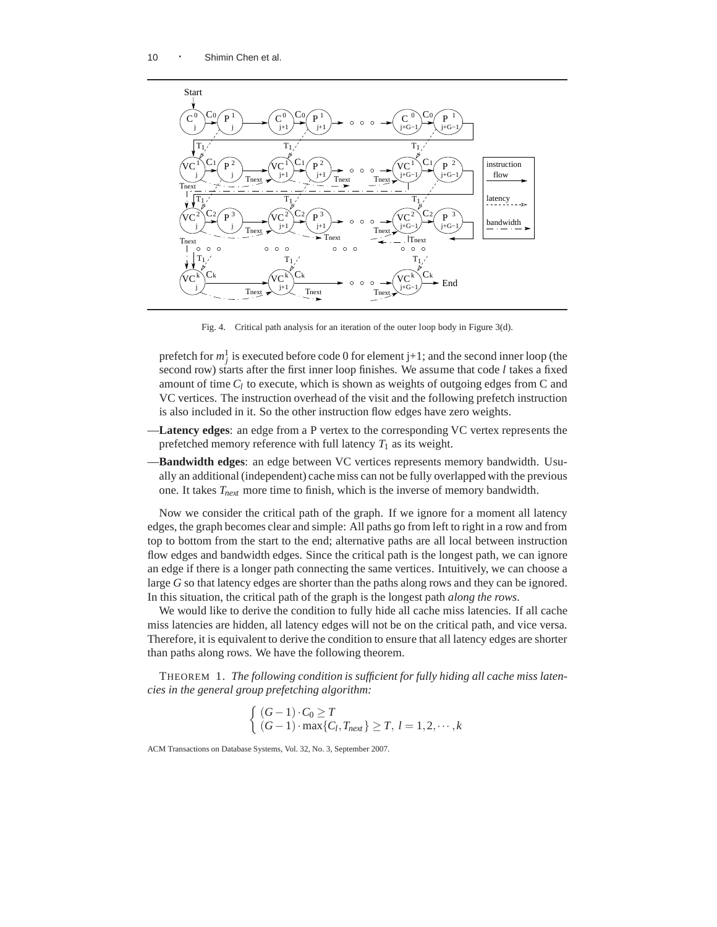

Fig. 4. Critical path analysis for an iteration of the outer loop body in Figure 3(d).

prefetch for  $m_j^1$  is executed before code  $0$  for element j+1; and the second inner loop (the second row) starts after the first inner loop finishes. We assume that code *l* takes a fixed amount of time  $C_l$  to execute, which is shown as weights of outgoing edges from  $C$  and VC vertices. The instruction overhead of the visit and the following prefetch instruction is also included in it. So the other instruction flow edges have zero weights.

- —**Latency edges**: an edge from a P vertex to the corresponding VC vertex represents the prefetched memory reference with full latency  $T_1$  as its weight.
- —**Bandwidth edges**: an edge between VC vertices represents memory bandwidth. Usually an additional (independent) cache miss can not be fully overlapped with the previous one. It takes  $T_{\text{next}}$  more time to finish, which is the inverse of memory bandwidth.

Now we consider the critical path of the graph. If we ignore for a moment all latency edges, the graph becomes clear and simple: All paths go from left to right in a row and from top to bottom from the start to the end; alternative paths are all local between instruction flow edges and bandwidth edges. Since the critical path is the longest path, we can ignore an edge if there is a longer path connecting the same vertices. Intuitively, we can choose a large *G* so that latency edges are shorter than the paths along rows and they can be ignored. In this situation, the critical path of the graph is the longest path *along the rows*.

We would like to derive the condition to fully hide all cache miss latencies. If all cache miss latencies are hidden, all latency edges will not be on the critical path, and vice versa. Therefore, it is equivalent to derive the condition to ensure that all latency edges are shorter than paths along rows. We have the following theorem.

THEOREM 1. *The following condition is sufficient for fully hiding all cache miss latencies in the general group prefetching algorithm:*

$$
\begin{cases} (G-1)\cdot C_0 \geq T \\ (G-1)\cdot \max\{C_l, T_{next}\} \geq T, l=1,2,\cdots,k \end{cases}
$$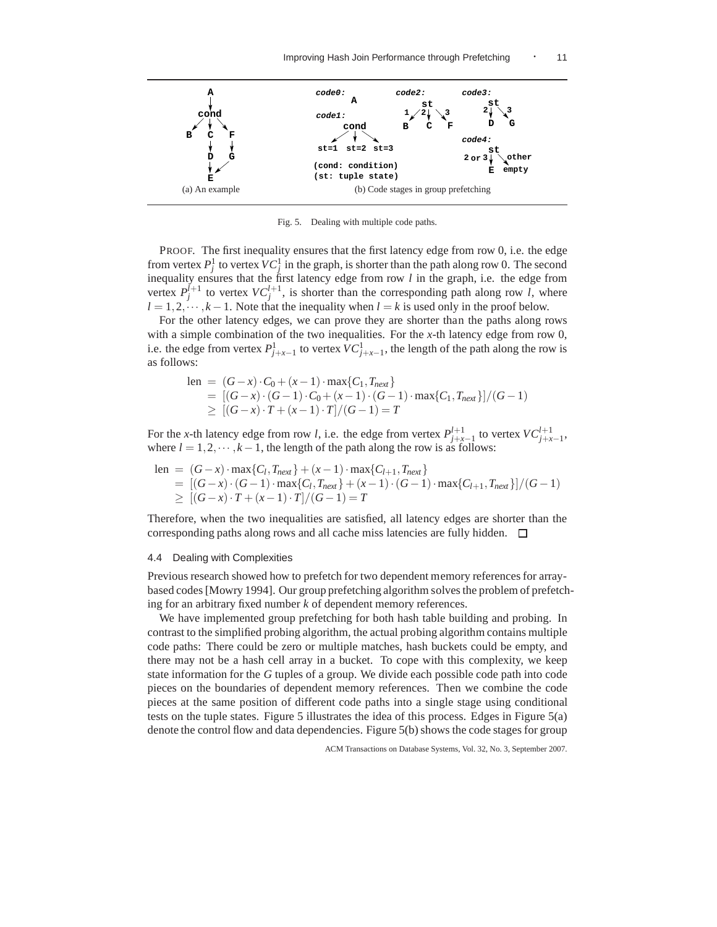

Fig. 5. Dealing with multiple code paths.

PROOF. The first inequality ensures that the first latency edge from row 0, i.e. the edge from vertex  $P_i^1$  to vertex  $VC_i^1$  in the graph, is shorter than the path along row 0. The second  $j$  in the graph, is shorter than the path along from  $j$ . The second inequality ensures that the first latency edge from row *l* in the graph, i.e. the edge from vertex  $P_j^{l+1}$  to vertex  $VC_j^{l+1}$ , is shorter than the corresponding path along row *l*, where  $l = 1, 2, \dots, k - 1$ . Note that the inequality when  $l = k$  is used only in the proof below.

For the other latency edges, we can prove they are shorter than the paths along rows with a simple combination of the two inequalities. For the *x*-th latency edge from row 0, i.e. the edge from vertex  $P^1_{j+x-1}$  to vertex  $VC^1_{j+x-1}$ , the length of the path along the row is as follows:

$$
\begin{array}{l}\n\text{len} = (G-x) \cdot C_0 + (x-1) \cdot \max\{C_1, T_{next}\} \\
= [(G-x) \cdot (G-1) \cdot C_0 + (x-1) \cdot (G-1) \cdot \max\{C_1, T_{next}\}]/(G-1) \\
\geq [(G-x) \cdot T + (x-1) \cdot T]/(G-1) = T\n\end{array}
$$

For the *x*-th latency edge from row *l*, i.e. the edge from vertex  $P_{j+x-1}^{l+1}$  to vertex  $VC_{j+x-1}^{l+1}$ , where  $l = 1, 2, \dots, k - 1$ , the length of the path along the row is as follows:

len = 
$$
(G-x) \cdot \max\{C_l, T_{next}\} + (x-1) \cdot \max\{C_{l+1}, T_{next}\}\
$$
  
\n=  $[(G-x) \cdot (G-1) \cdot \max\{C_l, T_{next}\} + (x-1) \cdot (G-1) \cdot \max\{C_{l+1}, T_{next}\}]/(G-1)$   
\n $\geq [(G-x) \cdot T + (x-1) \cdot T]/(G-1) = T$ 

Therefore, when the two inequalities are satisfied, all latency edges are shorter than the corresponding paths along rows and all cache miss latencies are fully hidden.  $\Box$ 

## 4.4 Dealing with Complexities

Previous research showed how to prefetch for two dependent memory references for arraybased codes [Mowry 1994]. Our group prefetching algorithm solves the problem of prefetching for an arbitrary fixed number *k* of dependent memory references.

We have implemented group prefetching for both hash table building and probing. In contrast to the simplified probing algorithm, the actual probing algorithm contains multiple code paths: There could be zero or multiple matches, hash buckets could be empty, and there may not be a hash cell array in a bucket. To cope with this complexity, we keep state information for the *G* tuples of a group. We divide each possible code path into code pieces on the boundaries of dependent memory references. Then we combine the code pieces at the same position of different code paths into a single stage using conditional tests on the tuple states. Figure 5 illustrates the idea of this process. Edges in Figure 5(a) denote the control flow and data dependencies. Figure 5(b) shows the code stages for group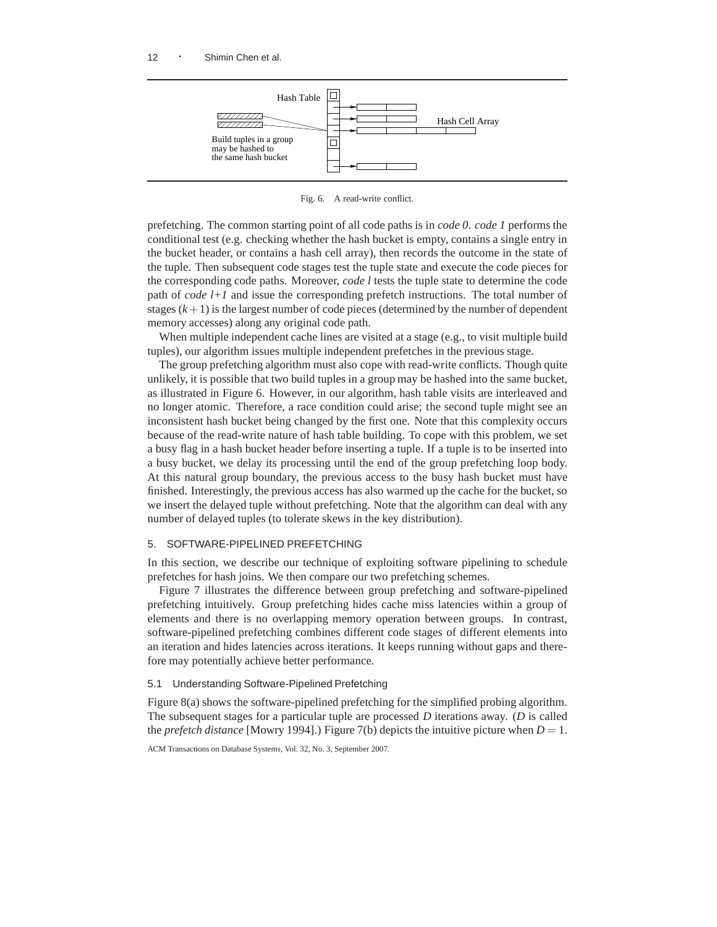

Fig. 6. A read-write conflict.

prefetching. The common starting point of all code paths is in *code 0*. *code 1* performs the conditional test (e.g. checking whether the hash bucket is empty, contains a single entry in the bucket header, or contains a hash cell array), then records the outcome in the state of the tuple. Then subsequent code stages test the tuple state and execute the code pieces for the corresponding code paths. Moreover, *code l* tests the tuple state to determine the code path of *code l+1* and issue the corresponding prefetch instructions. The total number of stages  $(k+1)$  is the largest number of code pieces (determined by the number of dependent memory accesses) along any original code path.

When multiple independent cache lines are visited at a stage (e.g., to visit multiple build tuples), our algorithm issues multiple independent prefetches in the previous stage.

The group prefetching algorithm must also cope with read-write conflicts. Though quite unlikely, it is possible that two build tuples in a group may be hashed into the same bucket, as illustrated in Figure 6. However, in our algorithm, hash table visits are interleaved and no longer atomic. Therefore, a race condition could arise; the second tuple might see an inconsistent hash bucket being changed by the first one. Note that this complexity occurs because of the read-write nature of hash table building. To cope with this problem, we set a busy flag in a hash bucket header before inserting a tuple. If a tuple is to be inserted into a busy bucket, we delay its processing until the end of the group prefetching loop body. At this natural group boundary, the previous access to the busy hash bucket must have finished. Interestingly, the previous access has also warmed up the cache for the bucket, so we insert the delayed tuple without prefetching. Note that the algorithm can deal with any number of delayed tuples (to tolerate skews in the key distribution).

# 5. SOFTWARE-PIPELINED PREFETCHING

In this section, we describe our technique of exploiting software pipelining to schedule prefetches for hash joins. We then compare our two prefetching schemes.

Figure 7 illustrates the difference between group prefetching and software-pipelined prefetching intuitively. Group prefetching hides cache miss latencies within a group of elements and there is no overlapping memory operation between groups. In contrast, software-pipelined prefetching combines different code stages of different elements into an iteration and hides latencies across iterations. It keeps running without gaps and therefore may potentially achieve better performance.

## 5.1 Understanding Software-Pipelined Prefetching

Figure 8(a) shows the software-pipelined prefetching for the simplified probing algorithm. The subsequent stages for a particular tuple are processed *D* iterations away. (*D* is called the *prefetch distance* [Mowry 1994].) Figure 7(b) depicts the intuitive picture when  $D = 1$ .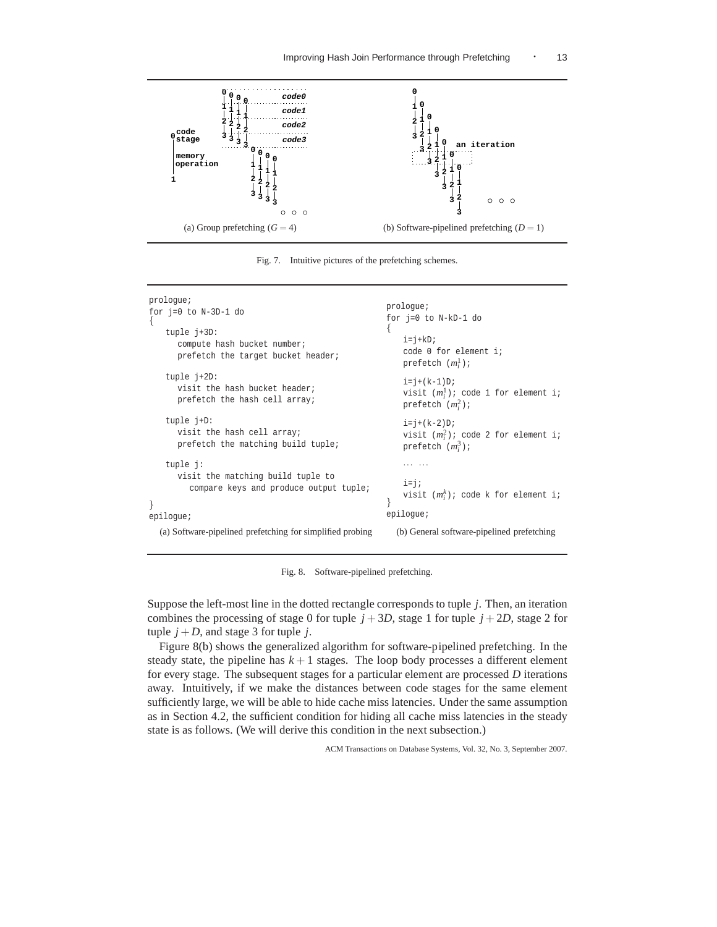

Fig. 7. Intuitive pictures of the prefetching schemes.

```
prologue;
for j=0 to N-3D-1 do
{
   tuple j+3D:
     compute hash bucket number;
      prefetch the target bucket header;
   tuple j+2D:
      visit the hash bucket header;
      prefetch the hash cell array;
   tuple j+D:
      visit the hash cell array;
      prefetch the matching build tuple;
   tuple j:
      visit the matching build tuple to
         compare keys and produce output tuple;
}
epilogue;
                                                     prologue;
                                                     for j=0 to N-kD-1 do
                                                      {
                                                         i=j+kD;code 0 for element i;
                                                          prefetch (m
1
i );
                                                         i=j+(k-1)D;visit (m_i^1); code 1 for element i;
                                                          prefetch (m_i^2);
                                                         i=j+(k-2)D;visit (m
2
i ); code 2 for element i;
                                                          prefetch (m
3
i );
                                                         ··· ···
                                                         i = j;visit (m
k
i ); code k for element i;
                                                     }
                                                     epilogue;
  (a) Software-pipelined prefetching for simplified probing (b) General software-pipelined prefetching
```
Fig. 8. Software-pipelined prefetching.

Suppose the left-most line in the dotted rectangle corresponds to tuple *j*. Then, an iteration combines the processing of stage 0 for tuple  $j + 3D$ , stage 1 for tuple  $j + 2D$ , stage 2 for tuple  $j + D$ , and stage 3 for tuple *j*.

Figure 8(b) shows the generalized algorithm for software-pipelined prefetching. In the steady state, the pipeline has  $k+1$  stages. The loop body processes a different element for every stage. The subsequent stages for a particular element are processed *D* iterations away. Intuitively, if we make the distances between code stages for the same element sufficiently large, we will be able to hide cache miss latencies. Under the same assumption as in Section 4.2, the sufficient condition for hiding all cache miss latencies in the steady state is as follows. (We will derive this condition in the next subsection.)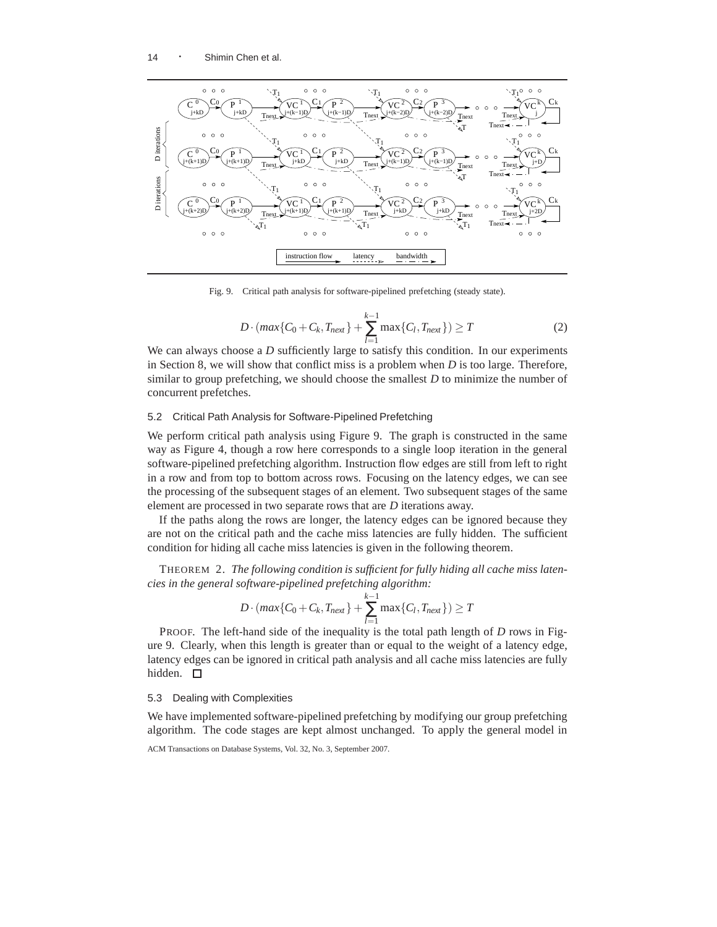

Fig. 9. Critical path analysis for software-pipelined prefetching (steady state).

$$
D \cdot \left( \max\{C_0 + C_k, T_{next}\} + \sum_{l=1}^{k-1} \max\{C_l, T_{next}\} \right) \ge T \tag{2}
$$

We can always choose a *D* sufficiently large to satisfy this condition. In our experiments in Section 8, we will show that conflict miss is a problem when *D* is too large. Therefore, similar to group prefetching, we should choose the smallest *D* to minimize the number of concurrent prefetches.

#### 5.2 Critical Path Analysis for Software-Pipelined Prefetching

We perform critical path analysis using Figure 9. The graph is constructed in the same way as Figure 4, though a row here corresponds to a single loop iteration in the general software-pipelined prefetching algorithm. Instruction flow edges are still from left to right in a row and from top to bottom across rows. Focusing on the latency edges, we can see the processing of the subsequent stages of an element. Two subsequent stages of the same element are processed in two separate rows that are *D* iterations away.

If the paths along the rows are longer, the latency edges can be ignored because they are not on the critical path and the cache miss latencies are fully hidden. The sufficient condition for hiding all cache miss latencies is given in the following theorem.

THEOREM 2. *The following condition is sufficient for fully hiding all cache miss latencies in the general software-pipelined prefetching algorithm:*

$$
D \cdot (max\{C_0 + C_k, T_{next}\} + \sum_{l=1}^{k-1} \max\{C_l, T_{next}\}) \ge T
$$

PROOF. The left-hand side of the inequality is the total path length of *D* rows in Figure 9. Clearly, when this length is greater than or equal to the weight of a latency edge, latency edges can be ignored in critical path analysis and all cache miss latencies are fully hidden.  $\square$ 

#### 5.3 Dealing with Complexities

We have implemented software-pipelined prefetching by modifying our group prefetching algorithm. The code stages are kept almost unchanged. To apply the general model in

ACM Transactions on Database Systems, Vol. 32, No. 3, September 2007.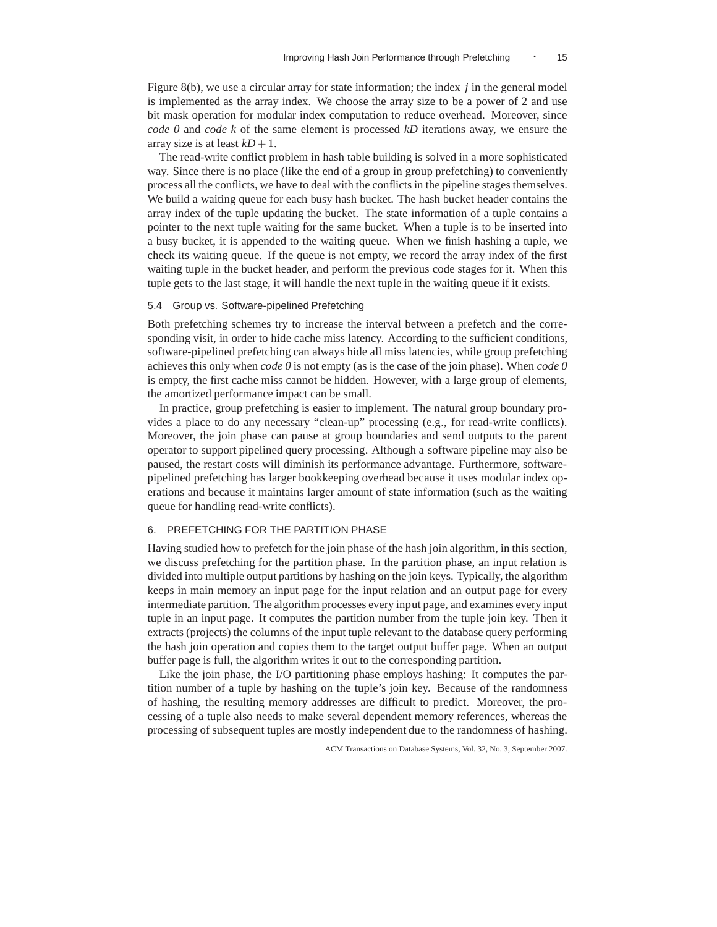Figure 8(b), we use a circular array for state information; the index *j* in the general model is implemented as the array index. We choose the array size to be a power of 2 and use bit mask operation for modular index computation to reduce overhead. Moreover, since *code 0* and *code k* of the same element is processed *kD* iterations away, we ensure the array size is at least  $kD+1$ .

The read-write conflict problem in hash table building is solved in a more sophisticated way. Since there is no place (like the end of a group in group prefetching) to conveniently process all the conflicts, we have to deal with the conflicts in the pipeline stages themselves. We build a waiting queue for each busy hash bucket. The hash bucket header contains the array index of the tuple updating the bucket. The state information of a tuple contains a pointer to the next tuple waiting for the same bucket. When a tuple is to be inserted into a busy bucket, it is appended to the waiting queue. When we finish hashing a tuple, we check its waiting queue. If the queue is not empty, we record the array index of the first waiting tuple in the bucket header, and perform the previous code stages for it. When this tuple gets to the last stage, it will handle the next tuple in the waiting queue if it exists.

#### 5.4 Group vs. Software-pipelined Prefetching

Both prefetching schemes try to increase the interval between a prefetch and the corresponding visit, in order to hide cache miss latency. According to the sufficient conditions, software-pipelined prefetching can always hide all miss latencies, while group prefetching achieves this only when *code 0* is not empty (as is the case of the join phase). When *code 0* is empty, the first cache miss cannot be hidden. However, with a large group of elements, the amortized performance impact can be small.

In practice, group prefetching is easier to implement. The natural group boundary provides a place to do any necessary "clean-up" processing (e.g., for read-write conflicts). Moreover, the join phase can pause at group boundaries and send outputs to the parent operator to support pipelined query processing. Although a software pipeline may also be paused, the restart costs will diminish its performance advantage. Furthermore, softwarepipelined prefetching has larger bookkeeping overhead because it uses modular index operations and because it maintains larger amount of state information (such as the waiting queue for handling read-write conflicts).

#### 6. PREFETCHING FOR THE PARTITION PHASE

Having studied how to prefetch for the join phase of the hash join algorithm, in this section, we discuss prefetching for the partition phase. In the partition phase, an input relation is divided into multiple output partitions by hashing on the join keys. Typically, the algorithm keeps in main memory an input page for the input relation and an output page for every intermediate partition. The algorithm processes every input page, and examines every input tuple in an input page. It computes the partition number from the tuple join key. Then it extracts (projects) the columns of the input tuple relevant to the database query performing the hash join operation and copies them to the target output buffer page. When an output buffer page is full, the algorithm writes it out to the corresponding partition.

Like the join phase, the I/O partitioning phase employs hashing: It computes the partition number of a tuple by hashing on the tuple's join key. Because of the randomness of hashing, the resulting memory addresses are difficult to predict. Moreover, the processing of a tuple also needs to make several dependent memory references, whereas the processing of subsequent tuples are mostly independent due to the randomness of hashing.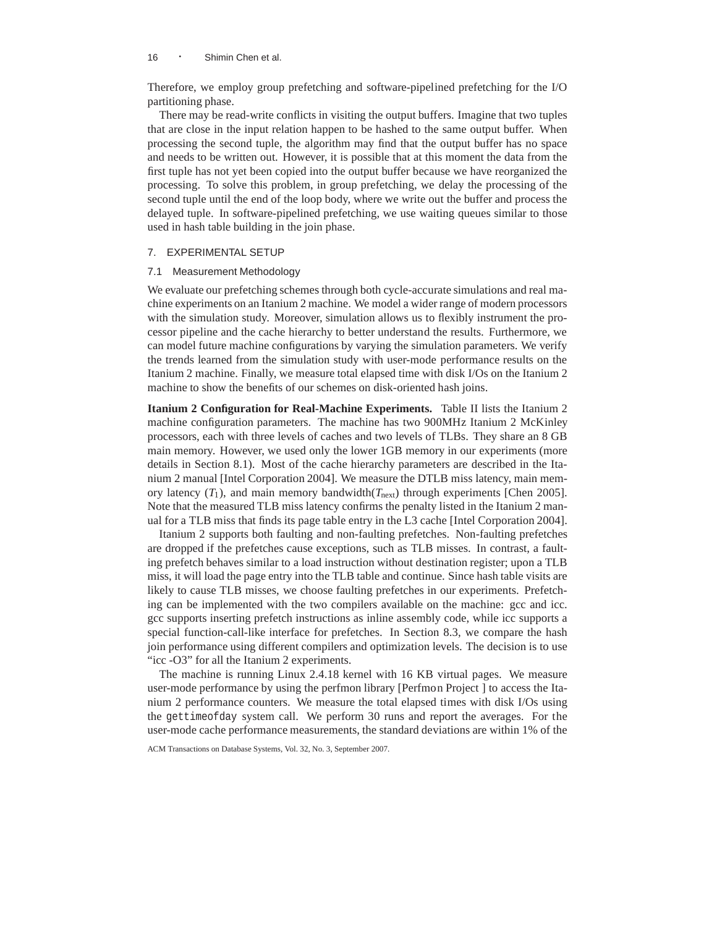Therefore, we employ group prefetching and software-pipelined prefetching for the I/O partitioning phase.

There may be read-write conflicts in visiting the output buffers. Imagine that two tuples that are close in the input relation happen to be hashed to the same output buffer. When processing the second tuple, the algorithm may find that the output buffer has no space and needs to be written out. However, it is possible that at this moment the data from the first tuple has not yet been copied into the output buffer because we have reorganized the processing. To solve this problem, in group prefetching, we delay the processing of the second tuple until the end of the loop body, where we write out the buffer and process the delayed tuple. In software-pipelined prefetching, we use waiting queues similar to those used in hash table building in the join phase.

## 7. EXPERIMENTAL SETUP

#### 7.1 Measurement Methodology

We evaluate our prefetching schemes through both cycle-accurate simulations and real machine experiments on an Itanium 2 machine. We model a wider range of modern processors with the simulation study. Moreover, simulation allows us to flexibly instrument the processor pipeline and the cache hierarchy to better understand the results. Furthermore, we can model future machine configurations by varying the simulation parameters. We verify the trends learned from the simulation study with user-mode performance results on the Itanium 2 machine. Finally, we measure total elapsed time with disk I/Os on the Itanium 2 machine to show the benefits of our schemes on disk-oriented hash joins.

**Itanium 2 Configuration for Real-Machine Experiments.** Table II lists the Itanium 2 machine configuration parameters. The machine has two 900MHz Itanium 2 McKinley processors, each with three levels of caches and two levels of TLBs. They share an 8 GB main memory. However, we used only the lower 1GB memory in our experiments (more details in Section 8.1). Most of the cache hierarchy parameters are described in the Itanium 2 manual [Intel Corporation 2004]. We measure the DTLB miss latency, main memory latency  $(T_1)$ , and main memory bandwidth( $T_{\text{next}}$ ) through experiments [Chen 2005]. Note that the measured TLB miss latency confirms the penalty listed in the Itanium 2 manual for a TLB miss that finds its page table entry in the L3 cache [Intel Corporation 2004].

Itanium 2 supports both faulting and non-faulting prefetches. Non-faulting prefetches are dropped if the prefetches cause exceptions, such as TLB misses. In contrast, a faulting prefetch behaves similar to a load instruction without destination register; upon a TLB miss, it will load the page entry into the TLB table and continue. Since hash table visits are likely to cause TLB misses, we choose faulting prefetches in our experiments. Prefetching can be implemented with the two compilers available on the machine: gcc and icc. gcc supports inserting prefetch instructions as inline assembly code, while icc supports a special function-call-like interface for prefetches. In Section 8.3, we compare the hash join performance using different compilers and optimization levels. The decision is to use "icc -O3" for all the Itanium 2 experiments.

The machine is running Linux 2.4.18 kernel with 16 KB virtual pages. We measure user-mode performance by using the perfmon library [Perfmon Project ] to access the Itanium 2 performance counters. We measure the total elapsed times with disk I/Os using the gettimeofday system call. We perform 30 runs and report the averages. For the user-mode cache performance measurements, the standard deviations are within 1% of the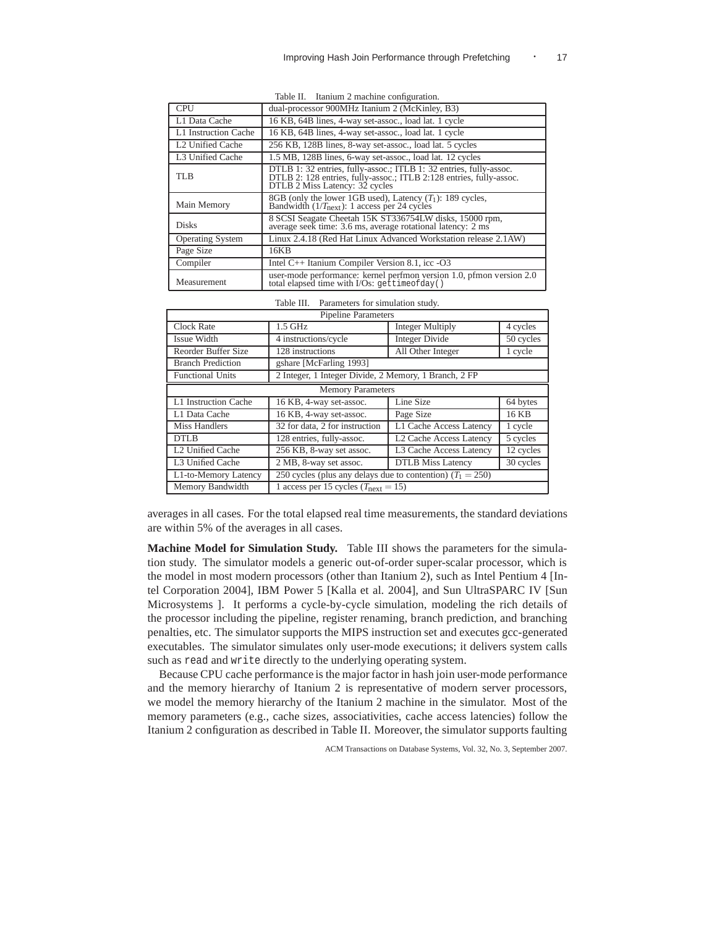| CPU                          | dual-processor 900MHz Itanium 2 (McKinley, B3)                                                                                                                              |  |  |  |
|------------------------------|-----------------------------------------------------------------------------------------------------------------------------------------------------------------------------|--|--|--|
| L1 Data Cache                | 16 KB, 64B lines, 4-way set-assoc., load lat. 1 cycle                                                                                                                       |  |  |  |
| L1 Instruction Cache         | 16 KB, 64B lines, 4-way set-assoc., load lat. 1 cycle                                                                                                                       |  |  |  |
| L <sub>2</sub> Unified Cache | 256 KB, 128B lines, 8-way set-assoc., load lat. 5 cycles                                                                                                                    |  |  |  |
| L3 Unified Cache             | 1.5 MB, 128B lines, 6-way set-assoc., load lat. 12 cycles                                                                                                                   |  |  |  |
| TLB                          | DTLB 1: 32 entries, fully-assoc.; ITLB 1: 32 entries, fully-assoc.<br>DTLB 2: 128 entries, fully-assoc.; ITLB 2:128 entries, fully-assoc.<br>DTLB 2 Miss Latency: 32 cycles |  |  |  |
| Main Memory                  | 8GB (only the lower 1GB used), Latency $(T_1)$ : 189 cycles,<br>Bandwidth $(1/T_{\text{next}})$ : 1 access per 24 cycles                                                    |  |  |  |
| <b>Disks</b>                 | 8 SCSI Seagate Cheetah 15K ST336754LW disks, 15000 rpm,<br>average seek time: 3.6 ms, average rotational latency: 2 ms                                                      |  |  |  |
| <b>Operating System</b>      | Linux 2.4.18 (Red Hat Linux Advanced Workstation release 2.1AW)                                                                                                             |  |  |  |
| Page Size                    | 16KB                                                                                                                                                                        |  |  |  |
| Compiler                     | Intel C++ Itanium Compiler Version 8.1, icc -O3                                                                                                                             |  |  |  |
| Measurement                  | user-mode performance: kernel perfmon version 1.0, pfmon version 2.0<br>total elapsed time with I/Os: gettimeofday()                                                        |  |  |  |

Table II. Itanium 2 machine configuration.

| Parameters for simulation study.<br>Table III. |  |  |  |  |
|------------------------------------------------|--|--|--|--|
|------------------------------------------------|--|--|--|--|

| <b>Pipeline Parameters</b>   |                                                              |                          |           |  |  |
|------------------------------|--------------------------------------------------------------|--------------------------|-----------|--|--|
| Clock Rate                   | $1.5$ GHz                                                    | <b>Integer Multiply</b>  | 4 cycles  |  |  |
| Issue Width                  | 4 instructions/cycle                                         | <b>Integer Divide</b>    | 50 cycles |  |  |
| Reorder Buffer Size          | 128 instructions                                             | All Other Integer        | 1 cycle   |  |  |
| <b>Branch Prediction</b>     | gshare [McFarling 1993]                                      |                          |           |  |  |
| <b>Functional Units</b>      | 2 Integer, 1 Integer Divide, 2 Memory, 1 Branch, 2 FP        |                          |           |  |  |
| <b>Memory Parameters</b>     |                                                              |                          |           |  |  |
| L1 Instruction Cache         | 16 KB, 4-way set-assoc.                                      | Line Size                | 64 bytes  |  |  |
| L1 Data Cache                | 16 KB, 4-way set-assoc.                                      | Page Size                | 16 KB     |  |  |
| Miss Handlers                | 32 for data, 2 for instruction                               | L1 Cache Access Latency  | 1 cycle   |  |  |
| DTLB                         | 128 entries, fully-assoc.                                    | L2 Cache Access Latency  | 5 cycles  |  |  |
| L <sub>2</sub> Unified Cache | 256 KB, 8-way set assoc.                                     | L3 Cache Access Latency  | 12 cycles |  |  |
| L3 Unified Cache             | 2 MB, 8-way set assoc.                                       | <b>DTLB</b> Miss Latency | 30 cycles |  |  |
| L1-to-Memory Latency         | 250 cycles (plus any delays due to contention) $(T_1 = 250)$ |                          |           |  |  |
| Memory Bandwidth             | 1 access per 15 cycles ( $T_{\text{next}} = 15$ )            |                          |           |  |  |

averages in all cases. For the total elapsed real time measurements, the standard deviations are within 5% of the averages in all cases.

**Machine Model for Simulation Study.** Table III shows the parameters for the simulation study. The simulator models a generic out-of-order super-scalar processor, which is the model in most modern processors (other than Itanium 2), such as Intel Pentium 4 [Intel Corporation 2004], IBM Power 5 [Kalla et al. 2004], and Sun UltraSPARC IV [Sun Microsystems ]. It performs a cycle-by-cycle simulation, modeling the rich details of the processor including the pipeline, register renaming, branch prediction, and branching penalties, etc. The simulator supports the MIPS instruction set and executes gcc-generated executables. The simulator simulates only user-mode executions; it delivers system calls such as read and write directly to the underlying operating system.

Because CPU cache performance is the major factor in hash join user-mode performance and the memory hierarchy of Itanium 2 is representative of modern server processors, we model the memory hierarchy of the Itanium 2 machine in the simulator. Most of the memory parameters (e.g., cache sizes, associativities, cache access latencies) follow the Itanium 2 configuration as described in Table II. Moreover, the simulator supports faulting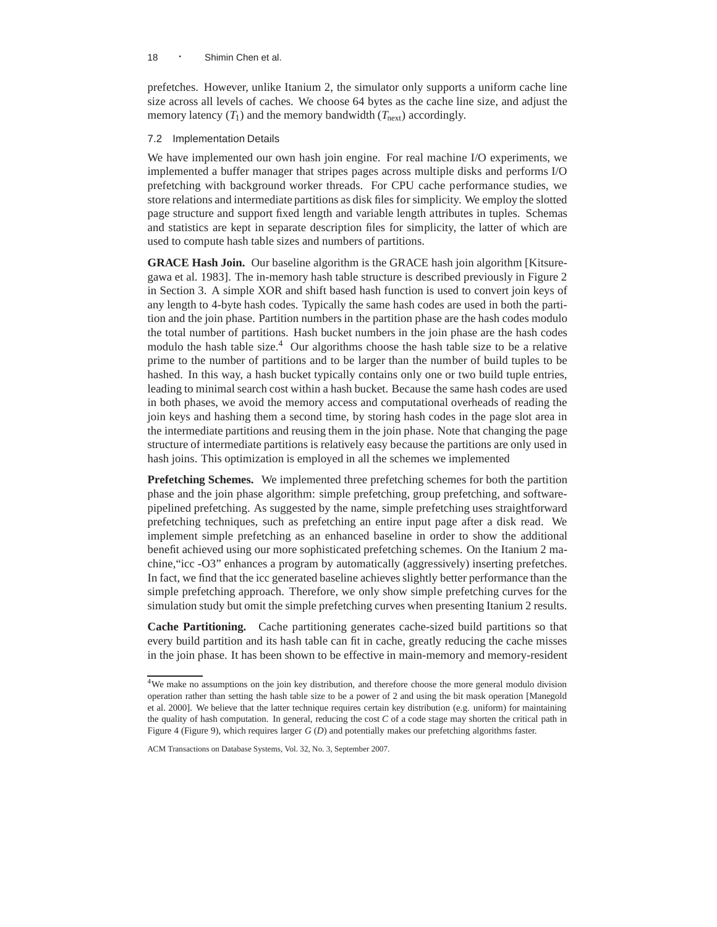## 18 · Shimin Chen et al.

prefetches. However, unlike Itanium 2, the simulator only supports a uniform cache line size across all levels of caches. We choose 64 bytes as the cache line size, and adjust the memory latency  $(T_1)$  and the memory bandwidth  $(T_{\text{next}})$  accordingly.

## 7.2 Implementation Details

We have implemented our own hash join engine. For real machine I/O experiments, we implemented a buffer manager that stripes pages across multiple disks and performs I/O prefetching with background worker threads. For CPU cache performance studies, we store relations and intermediate partitions as disk files for simplicity. We employ the slotted page structure and support fixed length and variable length attributes in tuples. Schemas and statistics are kept in separate description files for simplicity, the latter of which are used to compute hash table sizes and numbers of partitions.

**GRACE Hash Join.** Our baseline algorithm is the GRACE hash join algorithm [Kitsuregawa et al. 1983]. The in-memory hash table structure is described previously in Figure 2 in Section 3. A simple XOR and shift based hash function is used to convert join keys of any length to 4-byte hash codes. Typically the same hash codes are used in both the partition and the join phase. Partition numbers in the partition phase are the hash codes modulo the total number of partitions. Hash bucket numbers in the join phase are the hash codes modulo the hash table size. $4$  Our algorithms choose the hash table size to be a relative prime to the number of partitions and to be larger than the number of build tuples to be hashed. In this way, a hash bucket typically contains only one or two build tuple entries, leading to minimal search cost within a hash bucket. Because the same hash codes are used in both phases, we avoid the memory access and computational overheads of reading the join keys and hashing them a second time, by storing hash codes in the page slot area in the intermediate partitions and reusing them in the join phase. Note that changing the page structure of intermediate partitions is relatively easy because the partitions are only used in hash joins. This optimization is employed in all the schemes we implemented

**Prefetching Schemes.** We implemented three prefetching schemes for both the partition phase and the join phase algorithm: simple prefetching, group prefetching, and softwarepipelined prefetching. As suggested by the name, simple prefetching uses straightforward prefetching techniques, such as prefetching an entire input page after a disk read. We implement simple prefetching as an enhanced baseline in order to show the additional benefit achieved using our more sophisticated prefetching schemes. On the Itanium 2 machine,"icc -O3" enhances a program by automatically (aggressively) inserting prefetches. In fact, we find that the icc generated baseline achieves slightly better performance than the simple prefetching approach. Therefore, we only show simple prefetching curves for the simulation study but omit the simple prefetching curves when presenting Itanium 2 results.

**Cache Partitioning.** Cache partitioning generates cache-sized build partitions so that every build partition and its hash table can fit in cache, greatly reducing the cache misses in the join phase. It has been shown to be effective in main-memory and memory-resident

<sup>4</sup>We make no assumptions on the join key distribution, and therefore choose the more general modulo division operation rather than setting the hash table size to be a power of 2 and using the bit mask operation [Manegold et al. 2000]. We believe that the latter technique requires certain key distribution (e.g. uniform) for maintaining the quality of hash computation. In general, reducing the cost *C* of a code stage may shorten the critical path in Figure 4 (Figure 9), which requires larger *G* (*D*) and potentially makes our prefetching algorithms faster.

ACM Transactions on Database Systems, Vol. 32, No. 3, September 2007.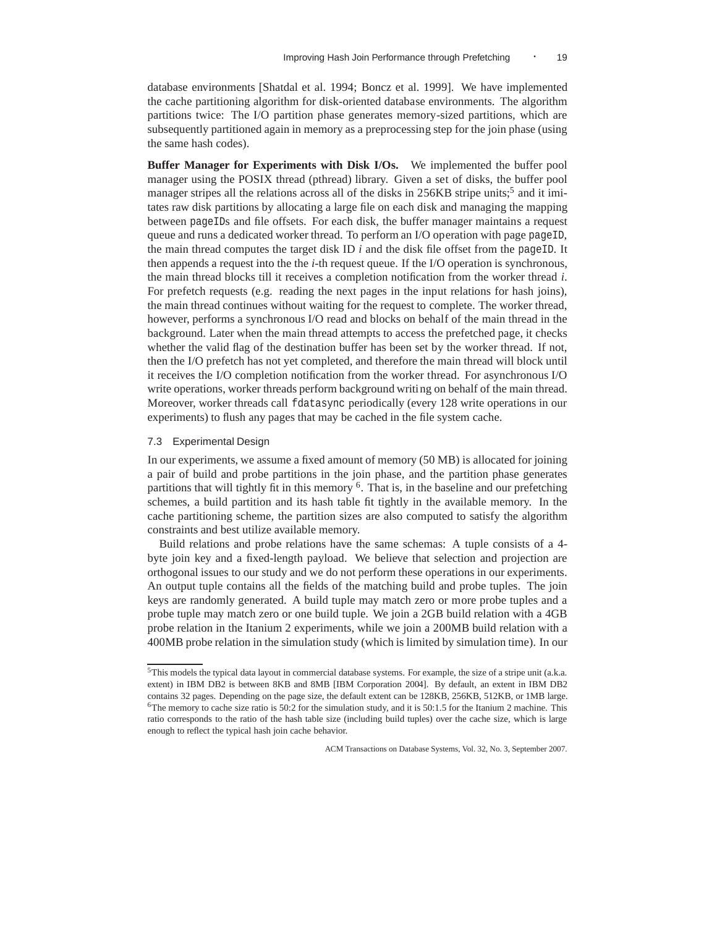database environments [Shatdal et al. 1994; Boncz et al. 1999]. We have implemented the cache partitioning algorithm for disk-oriented database environments. The algorithm partitions twice: The I/O partition phase generates memory-sized partitions, which are subsequently partitioned again in memory as a preprocessing step for the join phase (using the same hash codes).

**Buffer Manager for Experiments with Disk I/Os.** We implemented the buffer pool manager using the POSIX thread (pthread) library. Given a set of disks, the buffer pool manager stripes all the relations across all of the disks in 256KB stripe units;<sup>5</sup> and it imitates raw disk partitions by allocating a large file on each disk and managing the mapping between pageIDs and file offsets. For each disk, the buffer manager maintains a request queue and runs a dedicated worker thread. To perform an I/O operation with page pageID, the main thread computes the target disk ID  $i$  and the disk file offset from the pageID. It then appends a request into the the *i*-th request queue. If the I/O operation is synchronous, the main thread blocks till it receives a completion notification from the worker thread *i*. For prefetch requests (e.g. reading the next pages in the input relations for hash joins), the main thread continues without waiting for the request to complete. The worker thread, however, performs a synchronous I/O read and blocks on behalf of the main thread in the background. Later when the main thread attempts to access the prefetched page, it checks whether the valid flag of the destination buffer has been set by the worker thread. If not, then the I/O prefetch has not yet completed, and therefore the main thread will block until it receives the I/O completion notification from the worker thread. For asynchronous I/O write operations, worker threads perform background writing on behalf of the main thread. Moreover, worker threads call fdatasync periodically (every 128 write operations in our experiments) to flush any pages that may be cached in the file system cache.

#### 7.3 Experimental Design

In our experiments, we assume a fixed amount of memory (50 MB) is allocated for joining a pair of build and probe partitions in the join phase, and the partition phase generates partitions that will tightly fit in this memory <sup>6</sup>. That is, in the baseline and our prefetching schemes, a build partition and its hash table fit tightly in the available memory. In the cache partitioning scheme, the partition sizes are also computed to satisfy the algorithm constraints and best utilize available memory.

Build relations and probe relations have the same schemas: A tuple consists of a 4 byte join key and a fixed-length payload. We believe that selection and projection are orthogonal issues to our study and we do not perform these operations in our experiments. An output tuple contains all the fields of the matching build and probe tuples. The join keys are randomly generated. A build tuple may match zero or more probe tuples and a probe tuple may match zero or one build tuple. We join a 2GB build relation with a 4GB probe relation in the Itanium 2 experiments, while we join a 200MB build relation with a 400MB probe relation in the simulation study (which is limited by simulation time). In our

<sup>5</sup>This models the typical data layout in commercial database systems. For example, the size of a stripe unit (a.k.a. extent) in IBM DB2 is between 8KB and 8MB [IBM Corporation 2004]. By default, an extent in IBM DB2 contains 32 pages. Depending on the page size, the default extent can be 128KB, 256KB, 512KB, or 1MB large.  $6$ The memory to cache size ratio is 50:2 for the simulation study, and it is 50:1.5 for the Itanium 2 machine. This ratio corresponds to the ratio of the hash table size (including build tuples) over the cache size, which is large enough to reflect the typical hash join cache behavior.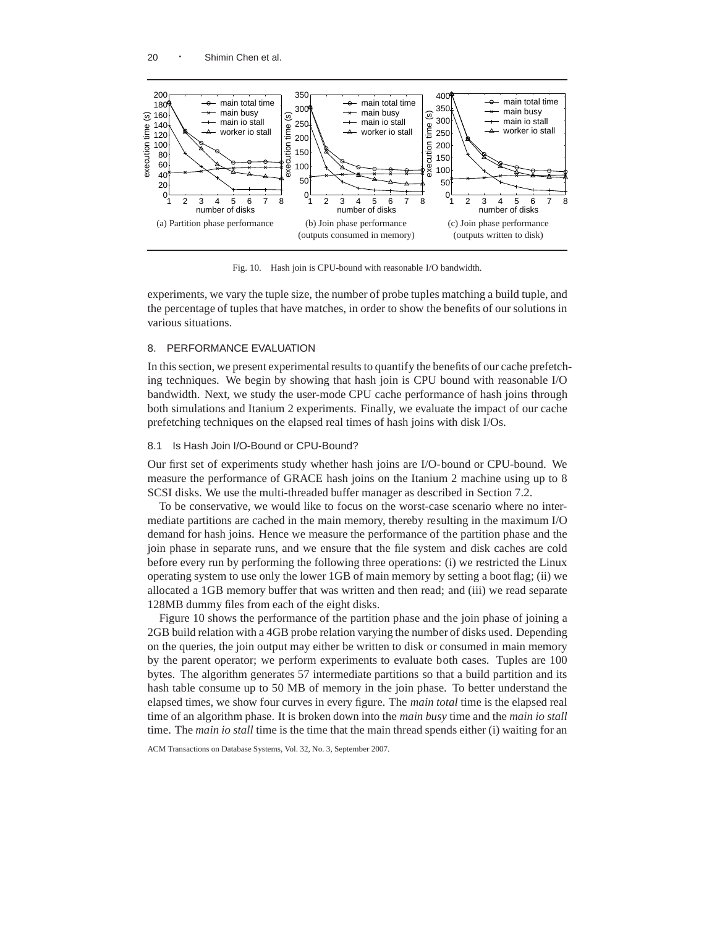

Fig. 10. Hash join is CPU-bound with reasonable I/O bandwidth.

experiments, we vary the tuple size, the number of probe tuples matching a build tuple, and the percentage of tuples that have matches, in order to show the benefits of our solutions in various situations.

#### 8. PERFORMANCE EVALUATION

In this section, we present experimental results to quantify the benefits of our cache prefetching techniques. We begin by showing that hash join is CPU bound with reasonable I/O bandwidth. Next, we study the user-mode CPU cache performance of hash joins through both simulations and Itanium 2 experiments. Finally, we evaluate the impact of our cache prefetching techniques on the elapsed real times of hash joins with disk I/Os.

## 8.1 Is Hash Join I/O-Bound or CPU-Bound?

Our first set of experiments study whether hash joins are I/O-bound or CPU-bound. We measure the performance of GRACE hash joins on the Itanium 2 machine using up to 8 SCSI disks. We use the multi-threaded buffer manager as described in Section 7.2.

To be conservative, we would like to focus on the worst-case scenario where no intermediate partitions are cached in the main memory, thereby resulting in the maximum I/O demand for hash joins. Hence we measure the performance of the partition phase and the join phase in separate runs, and we ensure that the file system and disk caches are cold before every run by performing the following three operations: (i) we restricted the Linux operating system to use only the lower 1GB of main memory by setting a boot flag; (ii) we allocated a 1GB memory buffer that was written and then read; and (iii) we read separate 128MB dummy files from each of the eight disks.

Figure 10 shows the performance of the partition phase and the join phase of joining a 2GB build relation with a 4GB probe relation varying the number of disks used. Depending on the queries, the join output may either be written to disk or consumed in main memory by the parent operator; we perform experiments to evaluate both cases. Tuples are 100 bytes. The algorithm generates 57 intermediate partitions so that a build partition and its hash table consume up to 50 MB of memory in the join phase. To better understand the elapsed times, we show four curves in every figure. The *main total* time is the elapsed real time of an algorithm phase. It is broken down into the *main busy* time and the *main io stall* time. The *main io stall* time is the time that the main thread spends either (i) waiting for an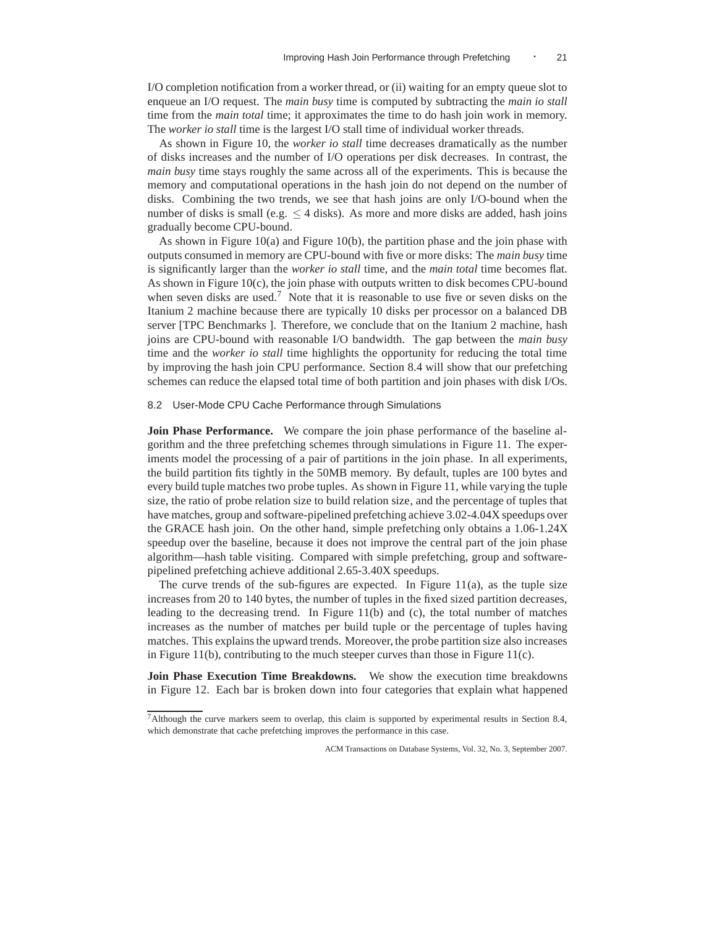I/O completion notification from a worker thread, or (ii) waiting for an empty queue slot to enqueue an I/O request. The *main busy* time is computed by subtracting the *main io stall* time from the *main total* time; it approximates the time to do hash join work in memory. The *worker io stall* time is the largest I/O stall time of individual worker threads.

As shown in Figure 10, the *worker io stall* time decreases dramatically as the number of disks increases and the number of I/O operations per disk decreases. In contrast, the *main busy* time stays roughly the same across all of the experiments. This is because the memory and computational operations in the hash join do not depend on the number of disks. Combining the two trends, we see that hash joins are only I/O-bound when the number of disks is small (e.g.  $\leq$  4 disks). As more and more disks are added, hash joins gradually become CPU-bound.

As shown in Figure  $10(a)$  and Figure  $10(b)$ , the partition phase and the join phase with outputs consumed in memory are CPU-bound with five or more disks: The *main busy* time is significantly larger than the *worker io stall* time, and the *main total* time becomes flat. As shown in Figure  $10(c)$ , the join phase with outputs written to disk becomes CPU-bound when seven disks are used.<sup>7</sup> Note that it is reasonable to use five or seven disks on the Itanium 2 machine because there are typically 10 disks per processor on a balanced DB server [TPC Benchmarks ]. Therefore, we conclude that on the Itanium 2 machine, hash joins are CPU-bound with reasonable I/O bandwidth. The gap between the *main busy* time and the *worker io stall* time highlights the opportunity for reducing the total time by improving the hash join CPU performance. Section 8.4 will show that our prefetching schemes can reduce the elapsed total time of both partition and join phases with disk I/Os.

## 8.2 User-Mode CPU Cache Performance through Simulations

**Join Phase Performance.** We compare the join phase performance of the baseline algorithm and the three prefetching schemes through simulations in Figure 11. The experiments model the processing of a pair of partitions in the join phase. In all experiments, the build partition fits tightly in the 50MB memory. By default, tuples are 100 bytes and every build tuple matches two probe tuples. As shown in Figure 11, while varying the tuple size, the ratio of probe relation size to build relation size, and the percentage of tuples that have matches, group and software-pipelined prefetching achieve 3.02-4.04X speedups over the GRACE hash join. On the other hand, simple prefetching only obtains a 1.06-1.24X speedup over the baseline, because it does not improve the central part of the join phase algorithm—hash table visiting. Compared with simple prefetching, group and softwarepipelined prefetching achieve additional 2.65-3.40X speedups.

The curve trends of the sub-figures are expected. In Figure  $11(a)$ , as the tuple size increases from 20 to 140 bytes, the number of tuples in the fixed sized partition decreases, leading to the decreasing trend. In Figure  $11(b)$  and (c), the total number of matches increases as the number of matches per build tuple or the percentage of tuples having matches. This explains the upward trends. Moreover, the probe partition size also increases in Figure 11(b), contributing to the much steeper curves than those in Figure 11(c).

**Join Phase Execution Time Breakdowns.** We show the execution time breakdowns in Figure 12. Each bar is broken down into four categories that explain what happened

<sup>7</sup>Although the curve markers seem to overlap, this claim is supported by experimental results in Section 8.4, which demonstrate that cache prefetching improves the performance in this case.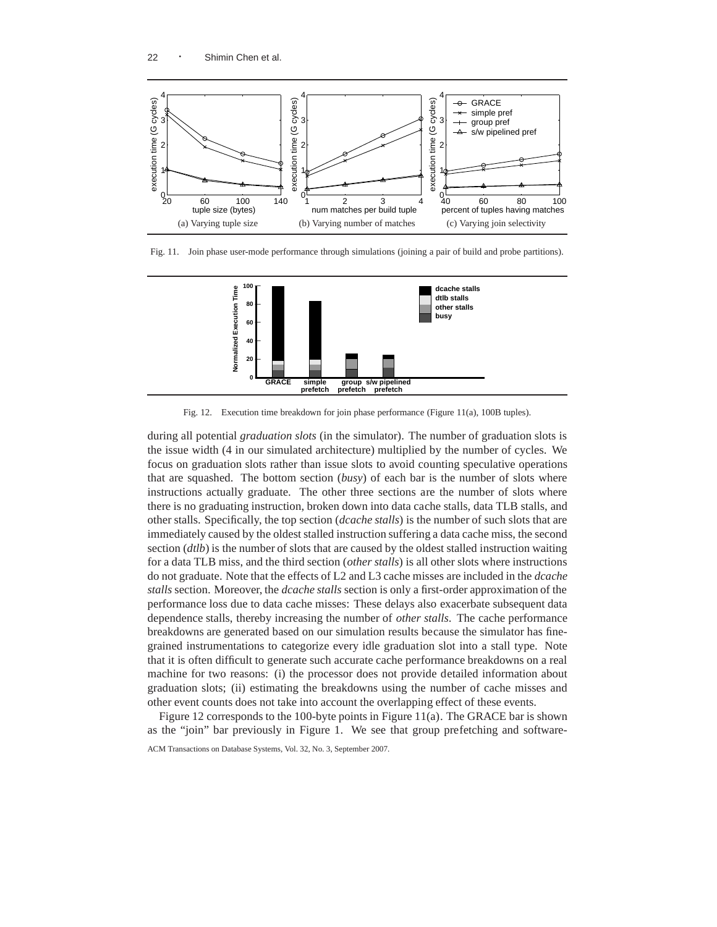

Fig. 11. Join phase user-mode performance through simulations (joining a pair of build and probe partitions).



Fig. 12. Execution time breakdown for join phase performance (Figure 11(a), 100B tuples).

during all potential *graduation slots* (in the simulator). The number of graduation slots is the issue width (4 in our simulated architecture) multiplied by the number of cycles. We focus on graduation slots rather than issue slots to avoid counting speculative operations that are squashed. The bottom section (*busy*) of each bar is the number of slots where instructions actually graduate. The other three sections are the number of slots where there is no graduating instruction, broken down into data cache stalls, data TLB stalls, and other stalls. Specifically, the top section (*dcache stalls*) is the number of such slots that are immediately caused by the oldest stalled instruction suffering a data cache miss, the second section (*dtlb*) is the number of slots that are caused by the oldest stalled instruction waiting for a data TLB miss, and the third section (*other stalls*) is all other slots where instructions do not graduate. Note that the effects of L2 and L3 cache misses are included in the *dcache stalls* section. Moreover, the *dcache stalls* section is only a first-order approximation of the performance loss due to data cache misses: These delays also exacerbate subsequent data dependence stalls, thereby increasing the number of *other stalls*. The cache performance breakdowns are generated based on our simulation results because the simulator has finegrained instrumentations to categorize every idle graduation slot into a stall type. Note that it is often difficult to generate such accurate cache performance breakdowns on a real machine for two reasons: (i) the processor does not provide detailed information about graduation slots; (ii) estimating the breakdowns using the number of cache misses and other event counts does not take into account the overlapping effect of these events.

Figure 12 corresponds to the 100-byte points in Figure 11(a). The GRACE bar is shown as the "join" bar previously in Figure 1. We see that group prefetching and software-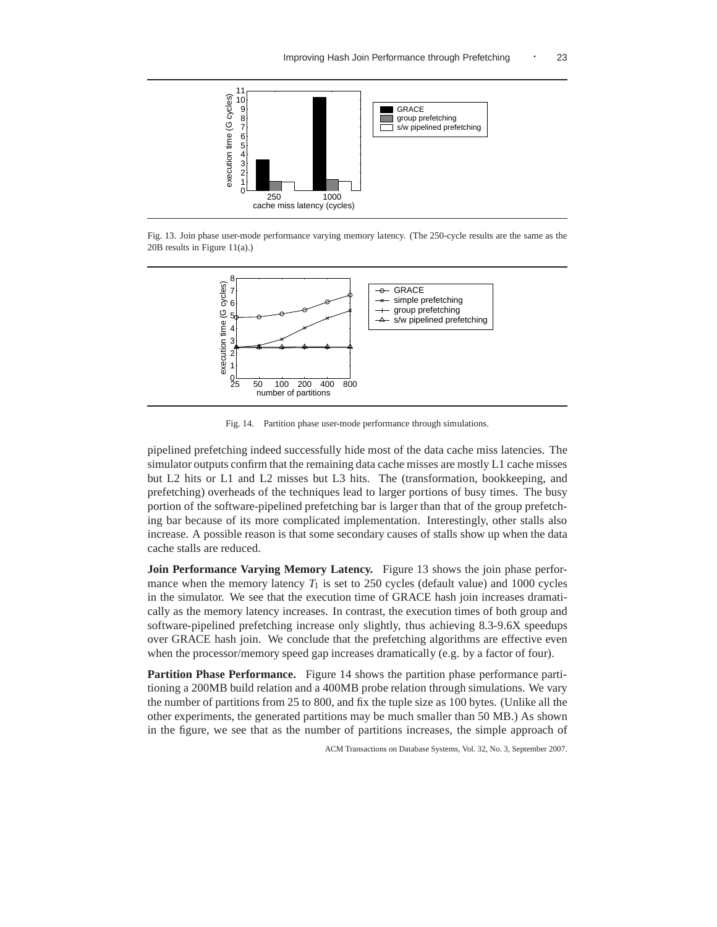

Fig. 13. Join phase user-mode performance varying memory latency. (The 250-cycle results are the same as the 20B results in Figure 11(a).)



Fig. 14. Partition phase user-mode performance through simulations.

pipelined prefetching indeed successfully hide most of the data cache miss latencies. The simulator outputs confirm that the remaining data cache misses are mostly L1 cache misses but L2 hits or L1 and L2 misses but L3 hits. The (transformation, bookkeeping, and prefetching) overheads of the techniques lead to larger portions of busy times. The busy portion of the software-pipelined prefetching bar is larger than that of the group prefetching bar because of its more complicated implementation. Interestingly, other stalls also increase. A possible reason is that some secondary causes of stalls show up when the data cache stalls are reduced.

**Join Performance Varying Memory Latency.** Figure 13 shows the join phase performance when the memory latency  $T_1$  is set to 250 cycles (default value) and 1000 cycles in the simulator. We see that the execution time of GRACE hash join increases dramatically as the memory latency increases. In contrast, the execution times of both group and software-pipelined prefetching increase only slightly, thus achieving 8.3-9.6X speedups over GRACE hash join. We conclude that the prefetching algorithms are effective even when the processor/memory speed gap increases dramatically (e.g. by a factor of four).

Partition Phase Performance. Figure 14 shows the partition phase performance partitioning a 200MB build relation and a 400MB probe relation through simulations. We vary the number of partitions from 25 to 800, and fix the tuple size as 100 bytes. (Unlike all the other experiments, the generated partitions may be much smaller than 50 MB.) As shown in the figure, we see that as the number of partitions increases, the simple approach of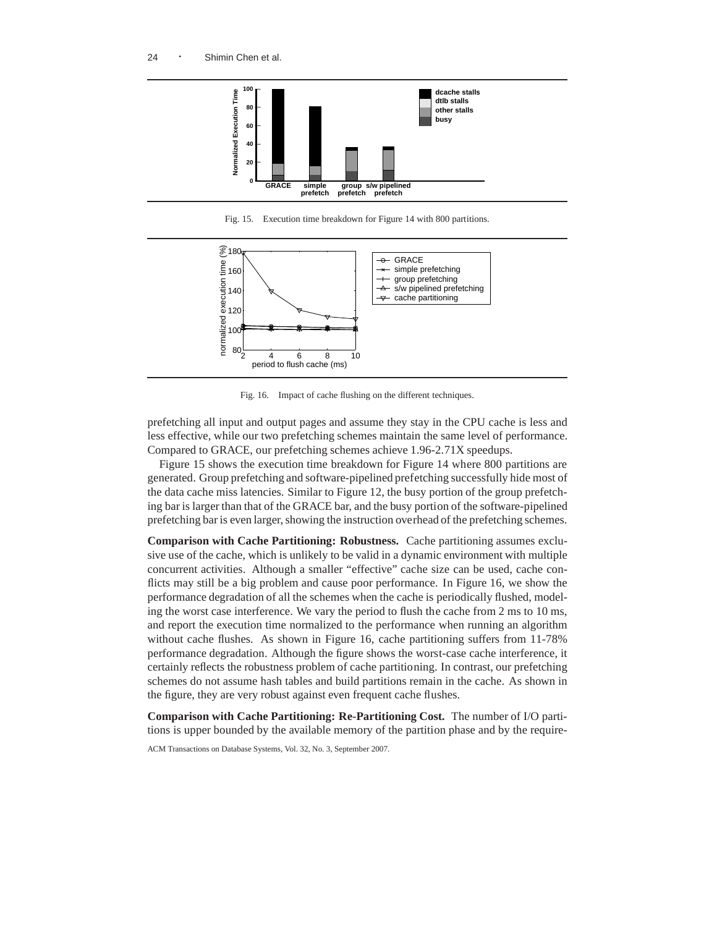

Fig. 15. Execution time breakdown for Figure 14 with 800 partitions.



Fig. 16. Impact of cache flushing on the different techniques.

prefetching all input and output pages and assume they stay in the CPU cache is less and less effective, while our two prefetching schemes maintain the same level of performance. Compared to GRACE, our prefetching schemes achieve 1.96-2.71X speedups.

Figure 15 shows the execution time breakdown for Figure 14 where 800 partitions are generated. Group prefetching and software-pipelined prefetching successfully hide most of the data cache miss latencies. Similar to Figure 12, the busy portion of the group prefetching bar is larger than that of the GRACE bar, and the busy portion of the software-pipelined prefetching bar is even larger, showing the instruction overhead of the prefetching schemes.

**Comparison with Cache Partitioning: Robustness.** Cache partitioning assumes exclusive use of the cache, which is unlikely to be valid in a dynamic environment with multiple concurrent activities. Although a smaller "effective" cache size can be used, cache conflicts may still be a big problem and cause poor performance. In Figure 16, we show the performance degradation of all the schemes when the cache is periodically flushed, modeling the worst case interference. We vary the period to flush the cache from 2 ms to 10 ms, and report the execution time normalized to the performance when running an algorithm without cache flushes. As shown in Figure 16, cache partitioning suffers from 11-78% performance degradation. Although the figure shows the worst-case cache interference, it certainly reflects the robustness problem of cache partitioning. In contrast, our prefetching schemes do not assume hash tables and build partitions remain in the cache. As shown in the figure, they are very robust against even frequent cache flushes.

**Comparison with Cache Partitioning: Re-Partitioning Cost.** The number of I/O partitions is upper bounded by the available memory of the partition phase and by the require-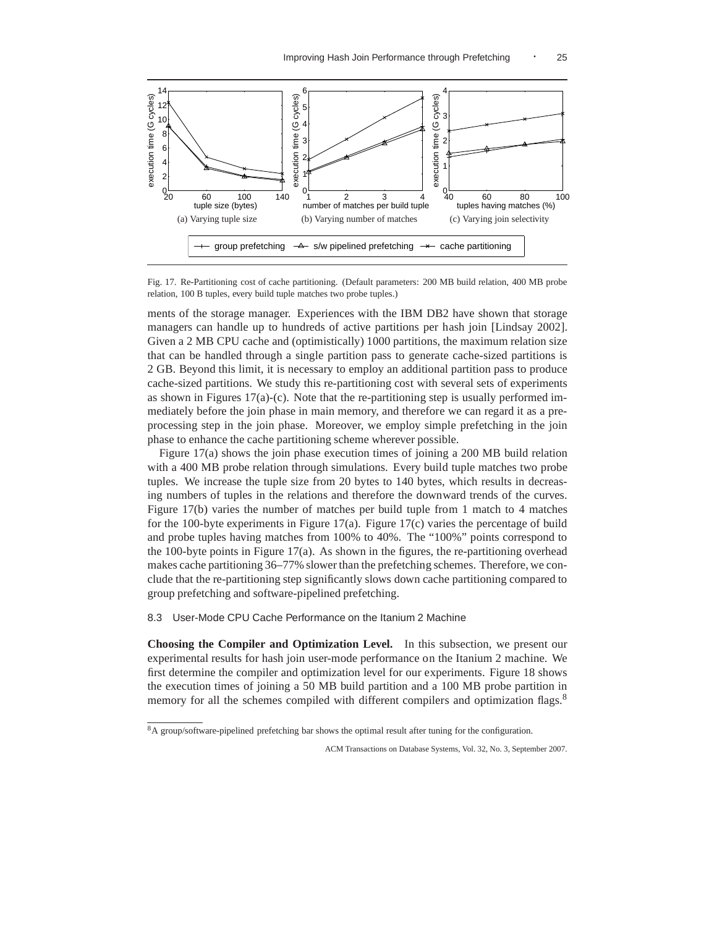

Fig. 17. Re-Partitioning cost of cache partitioning. (Default parameters: 200 MB build relation, 400 MB probe relation, 100 B tuples, every build tuple matches two probe tuples.)

ments of the storage manager. Experiences with the IBM DB2 have shown that storage managers can handle up to hundreds of active partitions per hash join [Lindsay 2002]. Given a 2 MB CPU cache and (optimistically) 1000 partitions, the maximum relation size that can be handled through a single partition pass to generate cache-sized partitions is 2 GB. Beyond this limit, it is necessary to employ an additional partition pass to produce cache-sized partitions. We study this re-partitioning cost with several sets of experiments as shown in Figures 17(a)-(c). Note that the re-partitioning step is usually performed immediately before the join phase in main memory, and therefore we can regard it as a preprocessing step in the join phase. Moreover, we employ simple prefetching in the join phase to enhance the cache partitioning scheme wherever possible.

Figure 17(a) shows the join phase execution times of joining a 200 MB build relation with a 400 MB probe relation through simulations. Every build tuple matches two probe tuples. We increase the tuple size from 20 bytes to 140 bytes, which results in decreasing numbers of tuples in the relations and therefore the downward trends of the curves. Figure 17(b) varies the number of matches per build tuple from 1 match to 4 matches for the 100-byte experiments in Figure 17(a). Figure 17(c) varies the percentage of build and probe tuples having matches from 100% to 40%. The "100%" points correspond to the 100-byte points in Figure 17(a). As shown in the figures, the re-partitioning overhead makes cache partitioning 36–77% slower than the prefetching schemes. Therefore, we conclude that the re-partitioning step significantly slows down cache partitioning compared to group prefetching and software-pipelined prefetching.

8.3 User-Mode CPU Cache Performance on the Itanium 2 Machine

**Choosing the Compiler and Optimization Level.** In this subsection, we present our experimental results for hash join user-mode performance on the Itanium 2 machine. We first determine the compiler and optimization level for our experiments. Figure 18 shows the execution times of joining a 50 MB build partition and a 100 MB probe partition in memory for all the schemes compiled with different compilers and optimization flags.<sup>8</sup>

<sup>8</sup>A group/software-pipelined prefetching bar shows the optimal result after tuning for the configuration.

ACM Transactions on Database Systems, Vol. 32, No. 3, September 2007.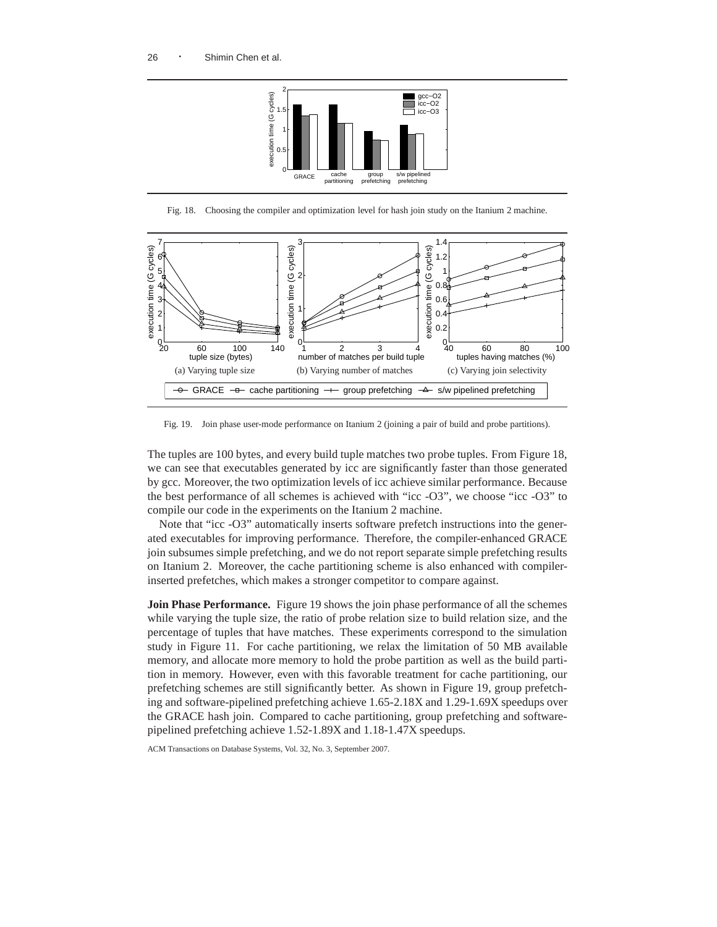

Fig. 18. Choosing the compiler and optimization level for hash join study on the Itanium 2 machine.



Fig. 19. Join phase user-mode performance on Itanium 2 (joining a pair of build and probe partitions).

The tuples are 100 bytes, and every build tuple matches two probe tuples. From Figure 18, we can see that executables generated by icc are significantly faster than those generated by gcc. Moreover, the two optimization levels of icc achieve similar performance. Because the best performance of all schemes is achieved with "icc -O3", we choose "icc -O3" to compile our code in the experiments on the Itanium 2 machine.

Note that "icc -O3" automatically inserts software prefetch instructions into the generated executables for improving performance. Therefore, the compiler-enhanced GRACE join subsumes simple prefetching, and we do not report separate simple prefetching results on Itanium 2. Moreover, the cache partitioning scheme is also enhanced with compilerinserted prefetches, which makes a stronger competitor to compare against.

**Join Phase Performance.** Figure 19 shows the join phase performance of all the schemes while varying the tuple size, the ratio of probe relation size to build relation size, and the percentage of tuples that have matches. These experiments correspond to the simulation study in Figure 11. For cache partitioning, we relax the limitation of 50 MB available memory, and allocate more memory to hold the probe partition as well as the build partition in memory. However, even with this favorable treatment for cache partitioning, our prefetching schemes are still significantly better. As shown in Figure 19, group prefetching and software-pipelined prefetching achieve 1.65-2.18X and 1.29-1.69X speedups over the GRACE hash join. Compared to cache partitioning, group prefetching and softwarepipelined prefetching achieve 1.52-1.89X and 1.18-1.47X speedups.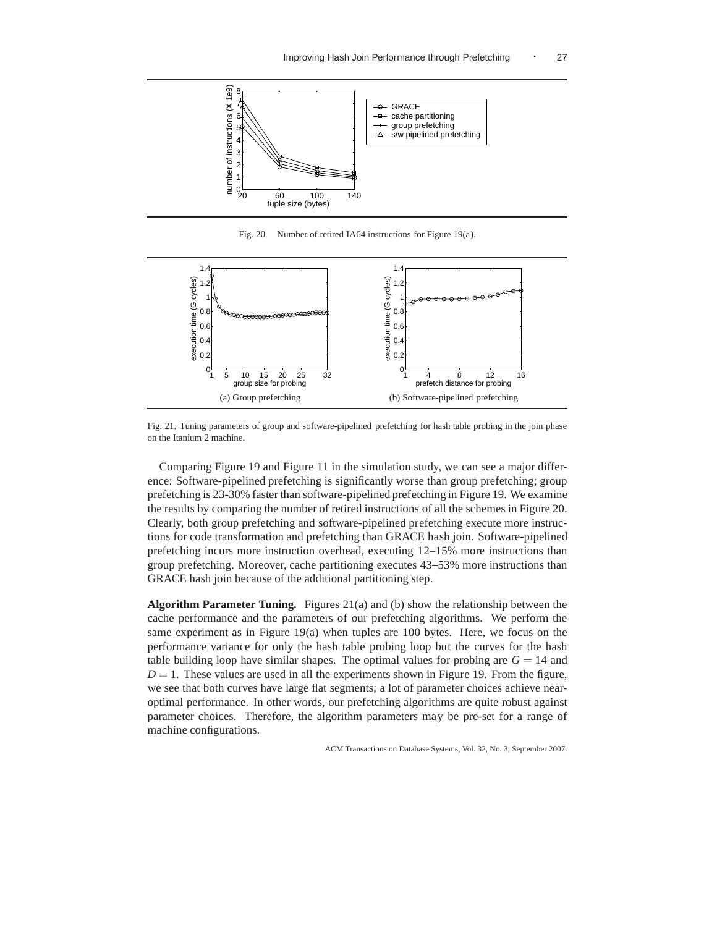

Fig. 20. Number of retired IA64 instructions for Figure 19(a).



Fig. 21. Tuning parameters of group and software-pipelined prefetching for hash table probing in the join phase on the Itanium 2 machine.

Comparing Figure 19 and Figure 11 in the simulation study, we can see a major difference: Software-pipelined prefetching is significantly worse than group prefetching; group prefetching is 23-30% faster than software-pipelined prefetching in Figure 19. We examine the results by comparing the number of retired instructions of all the schemes in Figure 20. Clearly, both group prefetching and software-pipelined prefetching execute more instructions for code transformation and prefetching than GRACE hash join. Software-pipelined prefetching incurs more instruction overhead, executing 12–15% more instructions than group prefetching. Moreover, cache partitioning executes 43–53% more instructions than GRACE hash join because of the additional partitioning step.

**Algorithm Parameter Tuning.** Figures 21(a) and (b) show the relationship between the cache performance and the parameters of our prefetching algorithms. We perform the same experiment as in Figure 19(a) when tuples are 100 bytes. Here, we focus on the performance variance for only the hash table probing loop but the curves for the hash table building loop have similar shapes. The optimal values for probing are  $G = 14$  and  $D = 1$ . These values are used in all the experiments shown in Figure 19. From the figure, we see that both curves have large flat segments; a lot of parameter choices achieve nearoptimal performance. In other words, our prefetching algorithms are quite robust against parameter choices. Therefore, the algorithm parameters may be pre-set for a range of machine configurations.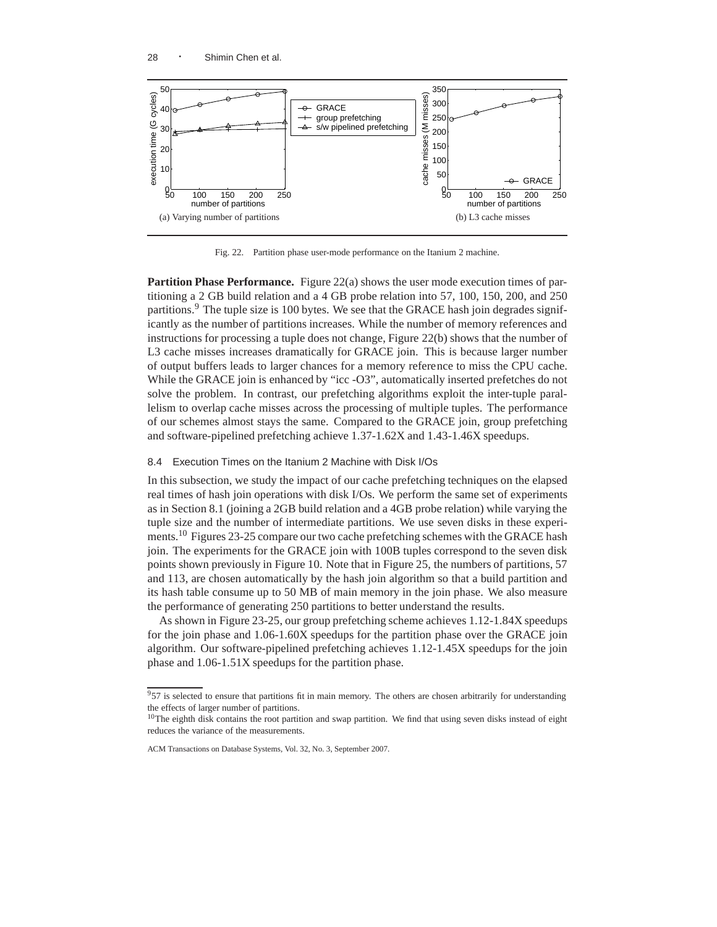

Fig. 22. Partition phase user-mode performance on the Itanium 2 machine.

Partition Phase Performance. Figure 22(a) shows the user mode execution times of partitioning a 2 GB build relation and a 4 GB probe relation into 57, 100, 150, 200, and 250 partitions.<sup>9</sup> The tuple size is 100 bytes. We see that the GRACE hash join degrades significantly as the number of partitions increases. While the number of memory references and instructions for processing a tuple does not change, Figure 22(b) shows that the number of L3 cache misses increases dramatically for GRACE join. This is because larger number of output buffers leads to larger chances for a memory reference to miss the CPU cache. While the GRACE join is enhanced by "icc -O3", automatically inserted prefetches do not solve the problem. In contrast, our prefetching algorithms exploit the inter-tuple parallelism to overlap cache misses across the processing of multiple tuples. The performance of our schemes almost stays the same. Compared to the GRACE join, group prefetching and software-pipelined prefetching achieve 1.37-1.62X and 1.43-1.46X speedups.

### 8.4 Execution Times on the Itanium 2 Machine with Disk I/Os

In this subsection, we study the impact of our cache prefetching techniques on the elapsed real times of hash join operations with disk I/Os. We perform the same set of experiments as in Section 8.1 (joining a 2GB build relation and a 4GB probe relation) while varying the tuple size and the number of intermediate partitions. We use seven disks in these experiments.<sup>10</sup> Figures 23-25 compare our two cache prefetching schemes with the GRACE hash join. The experiments for the GRACE join with 100B tuples correspond to the seven disk points shown previously in Figure 10. Note that in Figure 25, the numbers of partitions, 57 and 113, are chosen automatically by the hash join algorithm so that a build partition and its hash table consume up to 50 MB of main memory in the join phase. We also measure the performance of generating 250 partitions to better understand the results.

As shown in Figure 23-25, our group prefetching scheme achieves 1.12-1.84X speedups for the join phase and 1.06-1.60X speedups for the partition phase over the GRACE join algorithm. Our software-pipelined prefetching achieves 1.12-1.45X speedups for the join phase and 1.06-1.51X speedups for the partition phase.

<sup>&</sup>lt;sup>9</sup>57 is selected to ensure that partitions fit in main memory. The others are chosen arbitrarily for understanding the effects of larger number of partitions.

<sup>&</sup>lt;sup>10</sup>The eighth disk contains the root partition and swap partition. We find that using seven disks instead of eight reduces the variance of the measurements.

ACM Transactions on Database Systems, Vol. 32, No. 3, September 2007.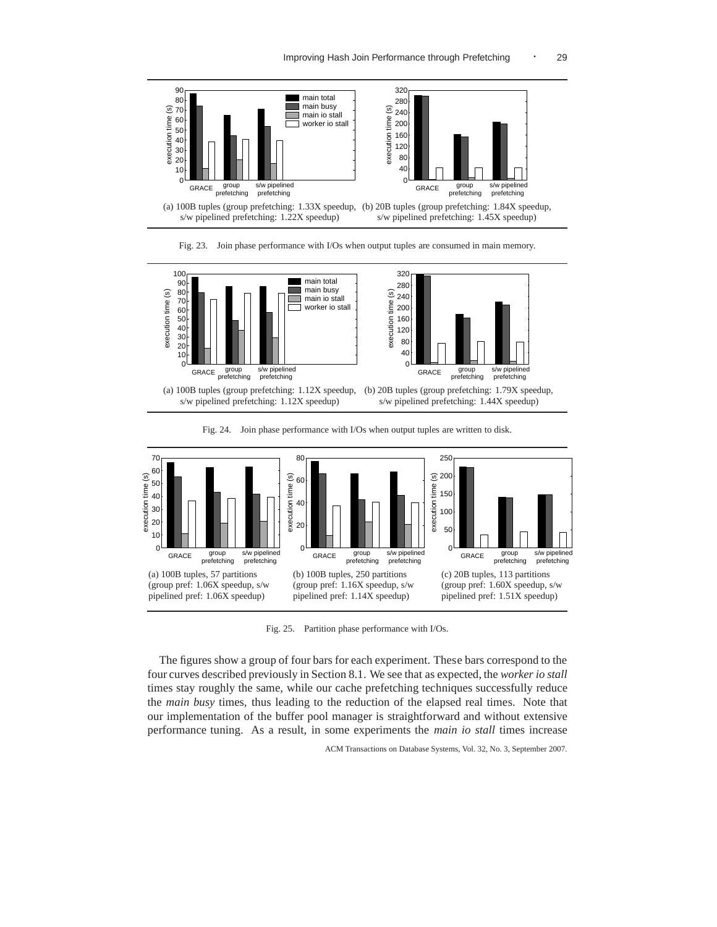

Fig. 23. Join phase performance with I/Os when output tuples are consumed in main memory.



#### Fig. 24. Join phase performance with I/Os when output tuples are written to disk.



Fig. 25. Partition phase performance with I/Os.

The figures show a group of four bars for each experiment. These bars correspond to the four curves described previously in Section 8.1. We see that as expected, the *worker io stall* times stay roughly the same, while our cache prefetching techniques successfully reduce the *main busy* times, thus leading to the reduction of the elapsed real times. Note that our implementation of the buffer pool manager is straightforward and without extensive performance tuning. As a result, in some experiments the *main io stall* times increase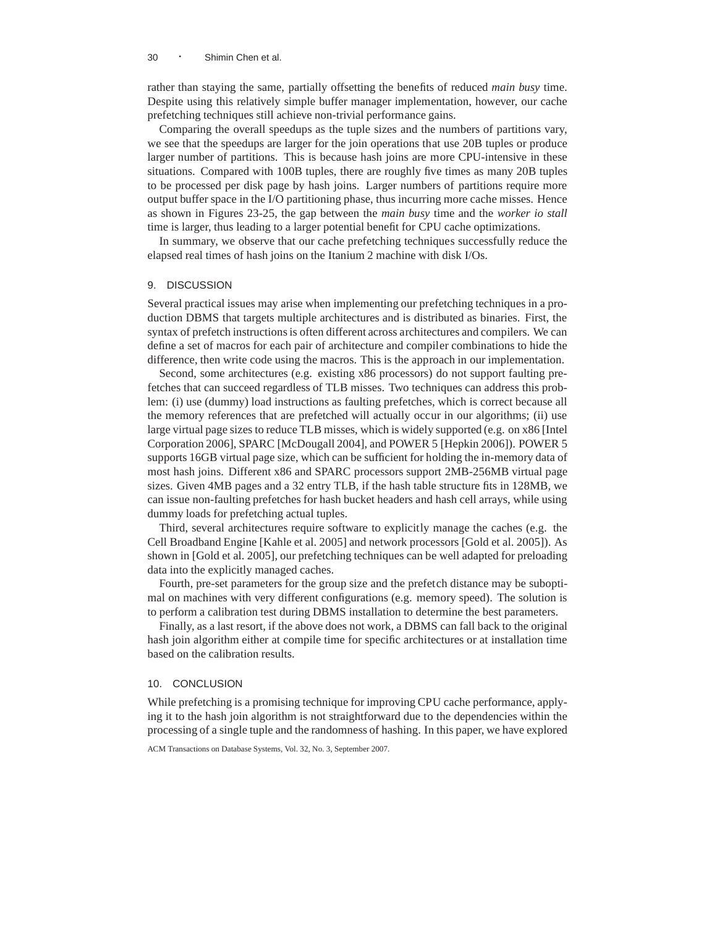### <sup>30</sup> · Shimin Chen et al.

rather than staying the same, partially offsetting the benefits of reduced *main busy* time. Despite using this relatively simple buffer manager implementation, however, our cache prefetching techniques still achieve non-trivial performance gains.

Comparing the overall speedups as the tuple sizes and the numbers of partitions vary, we see that the speedups are larger for the join operations that use 20B tuples or produce larger number of partitions. This is because hash joins are more CPU-intensive in these situations. Compared with 100B tuples, there are roughly five times as many 20B tuples to be processed per disk page by hash joins. Larger numbers of partitions require more output buffer space in the I/O partitioning phase, thus incurring more cache misses. Hence as shown in Figures 23-25, the gap between the *main busy* time and the *worker io stall* time is larger, thus leading to a larger potential benefit for CPU cache optimizations.

In summary, we observe that our cache prefetching techniques successfully reduce the elapsed real times of hash joins on the Itanium 2 machine with disk I/Os.

# 9. DISCUSSION

Several practical issues may arise when implementing our prefetching techniques in a production DBMS that targets multiple architectures and is distributed as binaries. First, the syntax of prefetch instructions is often different across architectures and compilers. We can define a set of macros for each pair of architecture and compiler combinations to hide the difference, then write code using the macros. This is the approach in our implementation.

Second, some architectures (e.g. existing x86 processors) do not support faulting prefetches that can succeed regardless of TLB misses. Two techniques can address this problem: (i) use (dummy) load instructions as faulting prefetches, which is correct because all the memory references that are prefetched will actually occur in our algorithms; (ii) use large virtual page sizes to reduce TLB misses, which is widely supported (e.g. on x86 [Intel Corporation 2006], SPARC [McDougall 2004], and POWER 5 [Hepkin 2006]). POWER 5 supports 16GB virtual page size, which can be sufficient for holding the in-memory data of most hash joins. Different x86 and SPARC processors support 2MB-256MB virtual page sizes. Given 4MB pages and a 32 entry TLB, if the hash table structure fits in 128MB, we can issue non-faulting prefetches for hash bucket headers and hash cell arrays, while using dummy loads for prefetching actual tuples.

Third, several architectures require software to explicitly manage the caches (e.g. the Cell Broadband Engine [Kahle et al. 2005] and network processors [Gold et al. 2005]). As shown in [Gold et al. 2005], our prefetching techniques can be well adapted for preloading data into the explicitly managed caches.

Fourth, pre-set parameters for the group size and the prefetch distance may be suboptimal on machines with very different configurations (e.g. memory speed). The solution is to perform a calibration test during DBMS installation to determine the best parameters.

Finally, as a last resort, if the above does not work, a DBMS can fall back to the original hash join algorithm either at compile time for specific architectures or at installation time based on the calibration results.

# 10. CONCLUSION

While prefetching is a promising technique for improving CPU cache performance, applying it to the hash join algorithm is not straightforward due to the dependencies within the processing of a single tuple and the randomness of hashing. In this paper, we have explored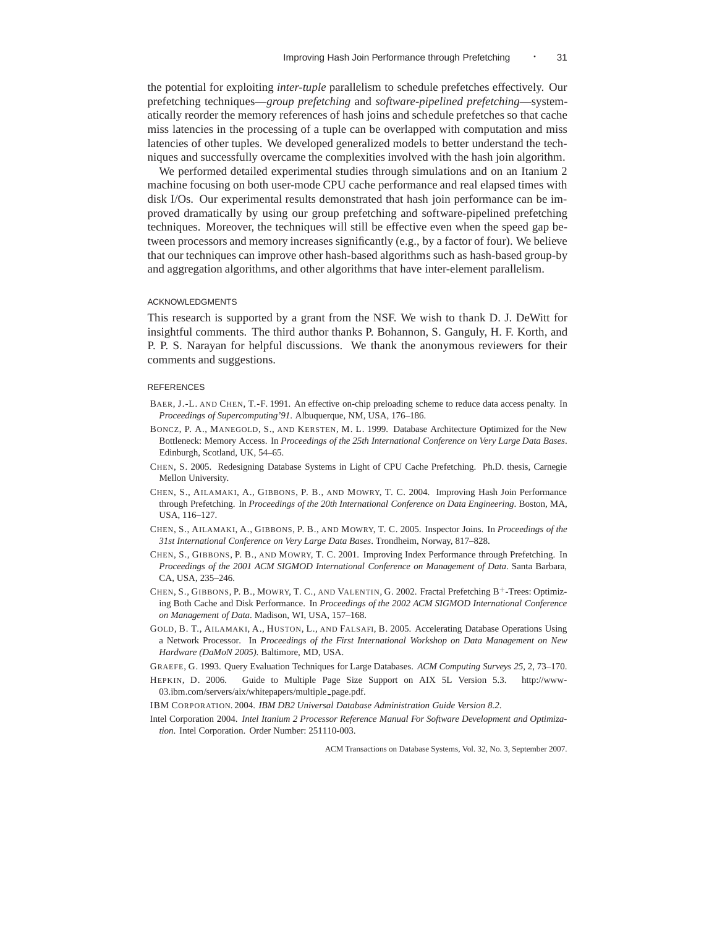the potential for exploiting *inter-tuple* parallelism to schedule prefetches effectively. Our prefetching techniques—*group prefetching* and *software-pipelined prefetching*—systematically reorder the memory references of hash joins and schedule prefetches so that cache miss latencies in the processing of a tuple can be overlapped with computation and miss latencies of other tuples. We developed generalized models to better understand the techniques and successfully overcame the complexities involved with the hash join algorithm.

We performed detailed experimental studies through simulations and on an Itanium 2 machine focusing on both user-mode CPU cache performance and real elapsed times with disk I/Os. Our experimental results demonstrated that hash join performance can be improved dramatically by using our group prefetching and software-pipelined prefetching techniques. Moreover, the techniques will still be effective even when the speed gap between processors and memory increases significantly (e.g., by a factor of four). We believe that our techniques can improve other hash-based algorithms such as hash-based group-by and aggregation algorithms, and other algorithms that have inter-element parallelism.

#### ACKNOWLEDGMENTS

This research is supported by a grant from the NSF. We wish to thank D. J. DeWitt for insightful comments. The third author thanks P. Bohannon, S. Ganguly, H. F. Korth, and P. P. S. Narayan for helpful discussions. We thank the anonymous reviewers for their comments and suggestions.

#### REFERENCES

- BAER, J.-L. AND CHEN, T.-F. 1991. An effective on-chip preloading scheme to reduce data access penalty. In *Proceedings of Supercomputing'91*. Albuquerque, NM, USA, 176–186.
- BONCZ, P. A., MANEGOLD, S., AND KERSTEN, M. L. 1999. Database Architecture Optimized for the New Bottleneck: Memory Access. In *Proceedings of the 25th International Conference on Very Large Data Bases*. Edinburgh, Scotland, UK, 54–65.
- CHEN, S. 2005. Redesigning Database Systems in Light of CPU Cache Prefetching. Ph.D. thesis, Carnegie Mellon University.
- CHEN, S., AILAMAKI, A., GIBBONS, P. B., AND MOWRY, T. C. 2004. Improving Hash Join Performance through Prefetching. In *Proceedings of the 20th International Conference on Data Engineering*. Boston, MA, USA, 116–127.
- CHEN, S., AILAMAKI, A., GIBBONS, P. B., AND MOWRY, T. C. 2005. Inspector Joins. In *Proceedings of the 31st International Conference on Very Large Data Bases*. Trondheim, Norway, 817–828.
- CHEN, S., GIBBONS, P. B., AND MOWRY, T. C. 2001. Improving Index Performance through Prefetching. In *Proceedings of the 2001 ACM SIGMOD International Conference on Management of Data*. Santa Barbara, CA, USA, 235–246.
- CHEN, S., GIBBONS, P. B., MOWRY, T. C., AND VALENTIN, G. 2002. Fractal Prefetching B+-Trees: Optimizing Both Cache and Disk Performance. In *Proceedings of the 2002 ACM SIGMOD International Conference on Management of Data*. Madison, WI, USA, 157–168.
- GOLD, B. T., AILAMAKI, A., HUSTON, L., AND FALSAFI, B. 2005. Accelerating Database Operations Using a Network Processor. In *Proceedings of the First International Workshop on Data Management on New Hardware (DaMoN 2005)*. Baltimore, MD, USA.
- GRAEFE, G. 1993. Query Evaluation Techniques for Large Databases. *ACM Computing Surveys 25,* 2, 73–170.
- HEPKIN, D. 2006. Guide to Multiple Page Size Support on AIX 5L Version 5.3. http://www-03.ibm.com/servers/aix/whitepapers/multiple page.pdf.
- IBM CORPORATION. 2004. *IBM DB2 Universal Database Administration Guide Version 8.2*.
- Intel Corporation 2004. *Intel Itanium 2 Processor Reference Manual For Software Development and Optimization*. Intel Corporation. Order Number: 251110-003.